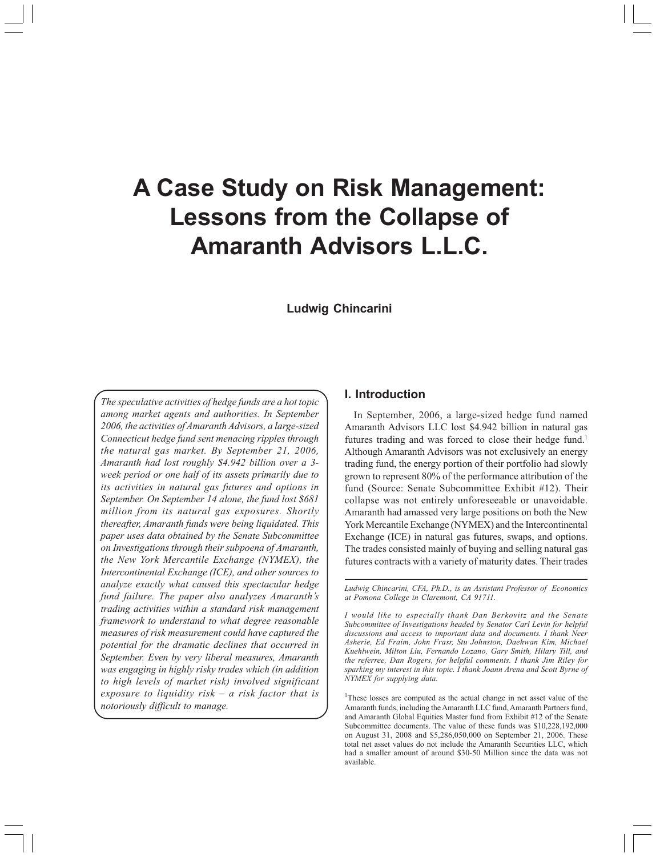# **A Case Study on Risk Management: Lessons from the Collapse of Amaranth Advisors L.L.C.**

# **Ludwig Chincarini**

*The speculative activities of hedge funds are a hot topic among market agents and authorities. In September 2006, the activities of Amaranth Advisors, a large-sized Connecticut hedge fund sent menacing ripples through the natural gas market. By September 21, 2006, Amaranth had lost roughly \$4.942 billion over a 3 week period or one half of its assets primarily due to its activities in natural gas futures and options in September. On September 14 alone, the fund lost \$681 million from its natural gas exposures. Shortly thereafter, Amaranth funds were being liquidated. This paper uses data obtained by the Senate Subcommittee on Investigations through their subpoena of Amaranth, the New York Mercantile Exchange (NYMEX), the Intercontinental Exchange (ICE), and other sources to analyze exactly what caused this spectacular hedge fund failure. The paper also analyzes Amaranth's trading activities within a standard risk management framework to understand to what degree reasonable measures of risk measurement could have captured the potential for the dramatic declines that occurred in September. Even by very liberal measures, Amaranth was engaging in highly risky trades which (in addition to high levels of market risk) involved significant exposure to liquidity risk – a risk factor that is notoriously difficult to manage.*

# **I. Introduction**

In September, 2006, a large-sized hedge fund named Amaranth Advisors LLC lost \$4.942 billion in natural gas futures trading and was forced to close their hedge fund.<sup>1</sup> Although Amaranth Advisors was not exclusively an energy trading fund, the energy portion of their portfolio had slowly grown to represent 80% of the performance attribution of the fund (Source: Senate Subcommittee Exhibit #12). Their collapse was not entirely unforeseeable or unavoidable. Amaranth had amassed very large positions on both the New York Mercantile Exchange (NYMEX) and the Intercontinental Exchange (ICE) in natural gas futures, swaps, and options. The trades consisted mainly of buying and selling natural gas futures contracts with a variety of maturity dates. Their trades

*Ludwig Chincarini, CFA, Ph.D., is an Assistant Professor of Economics at Pomona College in Claremont, CA 91711.*

*I would like to especially thank Dan Berkovitz and the Senate Subcommittee of Investigations headed by Senator Carl Levin for helpful discussions and access to important data and documents. I thank Neer Asherie, Ed Fraim, John Frasr, Stu Johnston, Daehwan Kim, Michael Kuehlwein, Milton Liu, Fernando Lozano, Gary Smith, Hilary Till, and the referree, Dan Rogers, for helpful comments. I thank Jim Riley for sparking my interest in this topic. I thank Joann Arena and Scott Byrne of NYMEX for supplying data.*

<sup>1</sup>These losses are computed as the actual change in net asset value of the Amaranth funds, including the Amaranth LLC fund, Amaranth Partners fund, and Amaranth Global Equities Master fund from Exhibit #12 of the Senate Subcommittee documents. The value of these funds was \$10,228,192,000 on August 31, 2008 and \$5,286,050,000 on September 21, 2006. These total net asset values do not include the Amaranth Securities LLC, which had a smaller amount of around \$30-50 Million since the data was not available.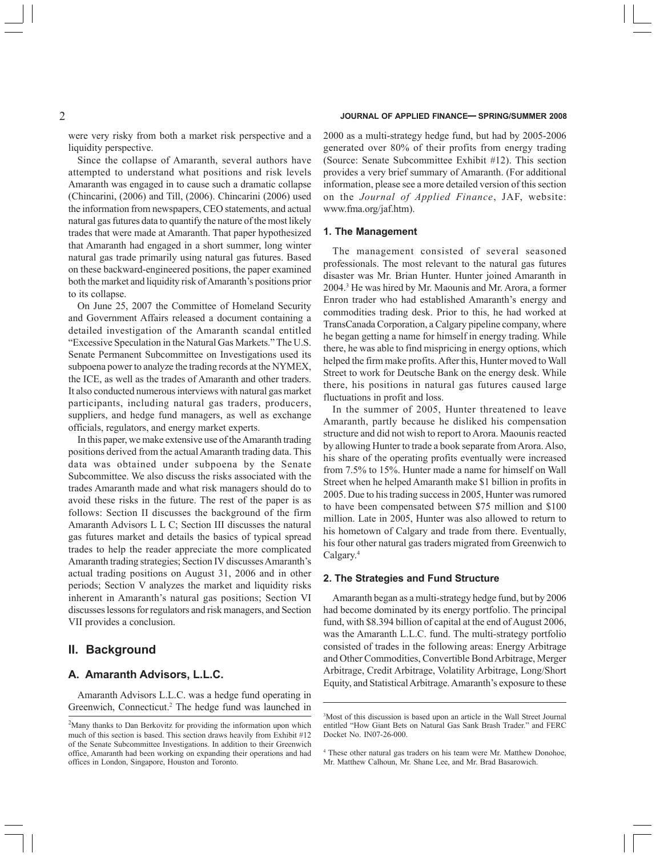were very risky from both a market risk perspective and a liquidity perspective.

Since the collapse of Amaranth, several authors have attempted to understand what positions and risk levels Amaranth was engaged in to cause such a dramatic collapse (Chincarini, (2006) and Till, (2006). Chincarini (2006) used the information from newspapers, CEO statements, and actual natural gas futures data to quantify the nature of the most likely trades that were made at Amaranth. That paper hypothesized that Amaranth had engaged in a short summer, long winter natural gas trade primarily using natural gas futures. Based on these backward-engineered positions, the paper examined both the market and liquidity risk of Amaranth's positions prior to its collapse.

On June 25, 2007 the Committee of Homeland Security and Government Affairs released a document containing a detailed investigation of the Amaranth scandal entitled "Excessive Speculation in the Natural Gas Markets." The U.S. Senate Permanent Subcommittee on Investigations used its subpoena power to analyze the trading records at the NYMEX, the ICE, as well as the trades of Amaranth and other traders. It also conducted numerous interviews with natural gas market participants, including natural gas traders, producers, suppliers, and hedge fund managers, as well as exchange officials, regulators, and energy market experts.

In this paper, we make extensive use of the Amaranth trading positions derived from the actual Amaranth trading data. This data was obtained under subpoena by the Senate Subcommittee. We also discuss the risks associated with the trades Amaranth made and what risk managers should do to avoid these risks in the future. The rest of the paper is as follows: Section II discusses the background of the firm Amaranth Advisors L L C; Section III discusses the natural gas futures market and details the basics of typical spread trades to help the reader appreciate the more complicated Amaranth trading strategies; Section IV discusses Amaranth's actual trading positions on August 31, 2006 and in other periods; Section V analyzes the market and liquidity risks inherent in Amaranth's natural gas positions; Section VI discusses lessons for regulators and risk managers, and Section VII provides a conclusion.

# **II. Background**

# **A. Amaranth Advisors, L.L.C.**

Amaranth Advisors L.L.C. was a hedge fund operating in Greenwich, Connecticut.<sup>2</sup> The hedge fund was launched in

2000 as a multi-strategy hedge fund, but had by 2005-2006 generated over 80% of their profits from energy trading (Source: Senate Subcommittee Exhibit #12). This section provides a very brief summary of Amaranth. (For additional information, please see a more detailed version of this section on the *Journal of Applied Finance*, JAF, website: www.fma.org/jaf.htm).

#### **1. The Management**

The management consisted of several seasoned professionals. The most relevant to the natural gas futures disaster was Mr. Brian Hunter. Hunter joined Amaranth in 2004.3 He was hired by Mr. Maounis and Mr. Arora, a former Enron trader who had established Amaranth's energy and commodities trading desk. Prior to this, he had worked at TransCanada Corporation, a Calgary pipeline company, where he began getting a name for himself in energy trading. While there, he was able to find mispricing in energy options, which helped the firm make profits. After this, Hunter moved to Wall Street to work for Deutsche Bank on the energy desk. While there, his positions in natural gas futures caused large fluctuations in profit and loss.

In the summer of 2005, Hunter threatened to leave Amaranth, partly because he disliked his compensation structure and did not wish to report to Arora. Maounis reacted by allowing Hunter to trade a book separate from Arora. Also, his share of the operating profits eventually were increased from 7.5% to 15%. Hunter made a name for himself on Wall Street when he helped Amaranth make \$1 billion in profits in 2005. Due to his trading success in 2005, Hunter was rumored to have been compensated between \$75 million and \$100 million. Late in 2005, Hunter was also allowed to return to his hometown of Calgary and trade from there. Eventually, his four other natural gas traders migrated from Greenwich to Calgary.4

#### **2. The Strategies and Fund Structure**

Amaranth began as a multi-strategy hedge fund, but by 2006 had become dominated by its energy portfolio. The principal fund, with \$8.394 billion of capital at the end of August 2006, was the Amaranth L.L.C. fund. The multi-strategy portfolio consisted of trades in the following areas: Energy Arbitrage and Other Commodities, Convertible Bond Arbitrage, Merger Arbitrage, Credit Arbitrage, Volatility Arbitrage, Long/Short Equity, and Statistical Arbitrage. Amaranth's exposure to these

<sup>&</sup>lt;sup>2</sup>Many thanks to Dan Berkovitz for providing the information upon which much of this section is based. This section draws heavily from Exhibit #12 of the Senate Subcommittee Investigations. In addition to their Greenwich office, Amaranth had been working on expanding their operations and had offices in London, Singapore, Houston and Toronto.

<sup>3</sup> Most of this discussion is based upon an article in the Wall Street Journal entitled "How Giant Bets on Natural Gas Sank Brash Trader." and FERC Docket No. IN07-26-000.

<sup>4</sup> These other natural gas traders on his team were Mr. Matthew Donohoe, Mr. Matthew Calhoun, Mr. Shane Lee, and Mr. Brad Basarowich.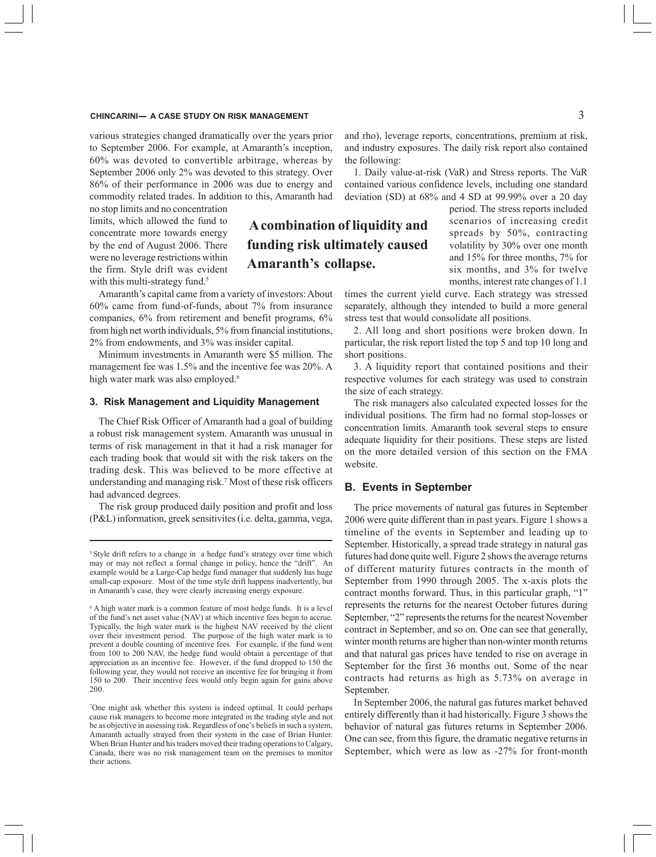various strategies changed dramatically over the years prior to September 2006. For example, at Amaranth's inception, 60% was devoted to convertible arbitrage, whereas by September 2006 only 2% was devoted to this strategy. Over 86% of their performance in 2006 was due to energy and commodity related trades. In addition to this, Amaranth had

no stop limits and no concentration limits, which allowed the fund to concentrate more towards energy by the end of August 2006. There were no leverage restrictions within the firm. Style drift was evident with this multi-strategy fund.<sup>5</sup>

Amaranth's capital came from a variety of investors: About 60% came from fund-of-funds, about 7% from insurance companies, 6% from retirement and benefit programs, 6% from high net worth individuals, 5% from financial institutions, 2% from endowments, and 3% was insider capital.

Minimum investments in Amaranth were \$5 million. The management fee was 1.5% and the incentive fee was 20%. A high water mark was also employed.<sup>6</sup>

#### **3. Risk Management and Liquidity Management**

The Chief Risk Officer of Amaranth had a goal of building a robust risk management system. Amaranth was unusual in terms of risk management in that it had a risk manager for each trading book that would sit with the risk takers on the trading desk. This was believed to be more effective at understanding and managing risk.7 Most of these risk officers had advanced degrees.

The risk group produced daily position and profit and loss (P&L) information, greek sensitivites (i.e. delta, gamma, vega, and rho), leverage reports, concentrations, premium at risk, and industry exposures. The daily risk report also contained the following:

1. Daily value-at-risk (VaR) and Stress reports. The VaR contained various confidence levels, including one standard deviation (SD) at 68% and 4 SD at 99.99% over a 20 day

 **A combination of liquidity and funding risk ultimately caused Amaranth's collapse.**

period. The stress reports included scenarios of increasing credit spreads by 50%, contracting volatility by 30% over one month and 15% for three months, 7% for six months, and 3% for twelve months, interest rate changes of 1.1

times the current yield curve. Each strategy was stressed separately, although they intended to build a more general stress test that would consolidate all positions.

2. All long and short positions were broken down. In particular, the risk report listed the top 5 and top 10 long and short positions.

3. A liquidity report that contained positions and their respective volumes for each strategy was used to constrain the size of each strategy.

The risk managers also calculated expected losses for the individual positions. The firm had no formal stop-losses or concentration limits. Amaranth took several steps to ensure adequate liquidity for their positions. These steps are listed on the more detailed version of this section on the FMA website.

#### **B. Events in September**

The price movements of natural gas futures in September 2006 were quite different than in past years. Figure 1 shows a timeline of the events in September and leading up to September. Historically, a spread trade strategy in natural gas futures had done quite well. Figure 2 shows the average returns of different maturity futures contracts in the month of September from 1990 through 2005. The x-axis plots the contract months forward. Thus, in this particular graph, "1" represents the returns for the nearest October futures during September, "2" represents the returns for the nearest November contract in September, and so on. One can see that generally, winter month returns are higher than non-winter month returns and that natural gas prices have tended to rise on average in September for the first 36 months out. Some of the near contracts had returns as high as 5.73% on average in September.

In September 2006, the natural gas futures market behaved entirely differently than it had historically. Figure 3 shows the behavior of natural gas futures returns in September 2006. One can see, from this figure, the dramatic negative returns in September, which were as low as -27% for front-month

<sup>&</sup>lt;sup>5</sup> Style drift refers to a change in a hedge fund's strategy over time which may or may not reflect a formal change in policy, hence the "drift". An example would be a Large-Cap hedge fund manager that suddenly has huge small-cap exposure. Most of the time style drift happens inadvertently, but in Amaranth's case, they were clearly increasing energy exposure.

<sup>&</sup>lt;sup>6</sup> A high water mark is a common feature of most hedge funds. It is a level of the fund's net asset value (NAV) at which incentive fees begin to accrue. Typically, the high water mark is the highest NAV received by the client over their investment period. The purpose of the high water mark is to prevent a double counting of incentive fees. For example, if the fund went from 100 to 200 NAV, the hedge fund would obtain a percentage of that appreciation as an incentive fee. However, if the fund dropped to 150 the following year, they would not receive an incentive fee for bringing it from 150 to 200. Their incentive fees would only begin again for gains above 200.

<sup>7</sup> One might ask whether this system is indeed optimal. It could perhaps cause risk managers to become more integrated in the trading style and not be as objective in assessing risk. Regardless of one's beliefs in such a system, Amaranth actually strayed from their system in the case of Brian Hunter. When Brian Hunter and his traders moved their trading operations to Calgary, Canada, there was no risk management team on the premises to monitor their actions.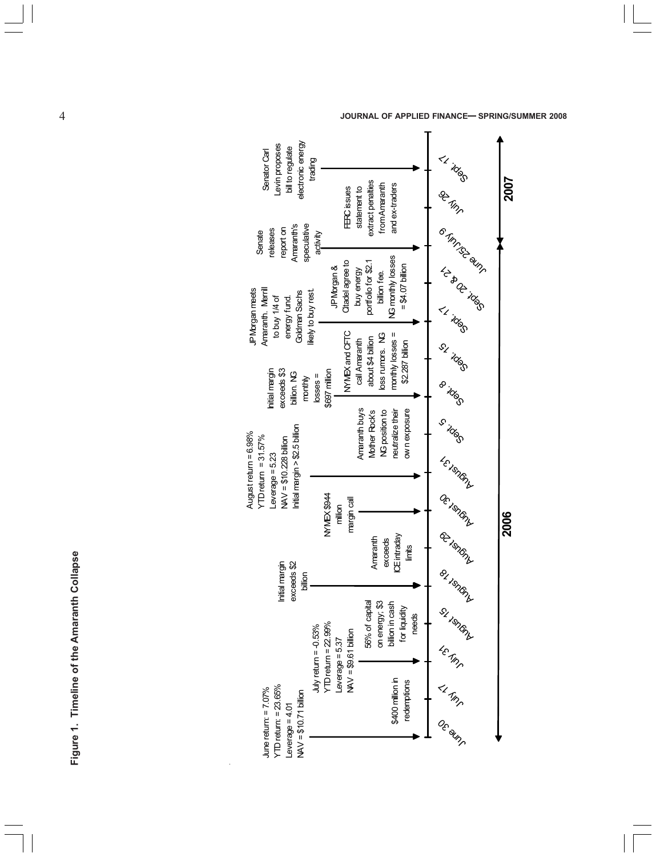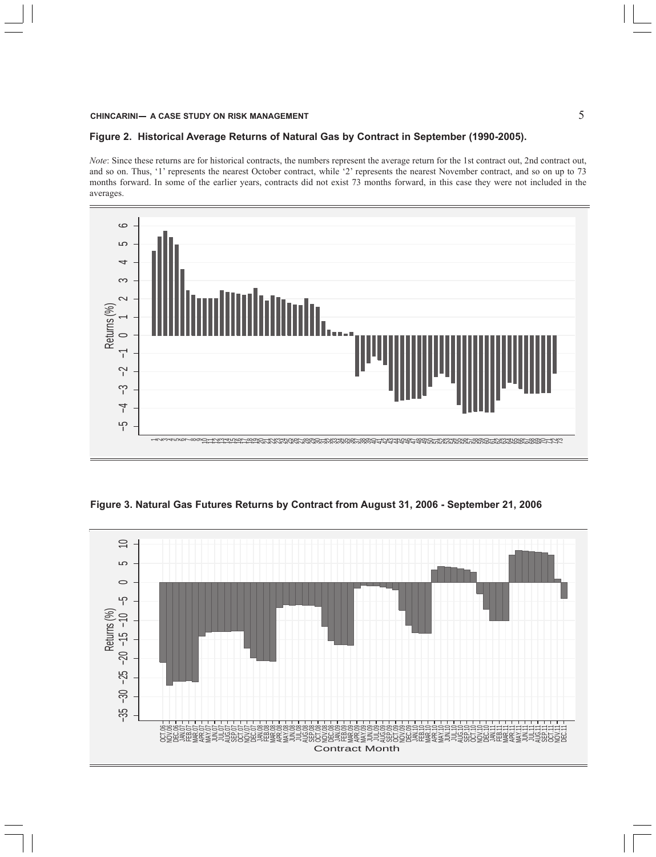# **Figure 2. Historical Average Returns of Natural Gas by Contract in September (1990-2005).**

*Note*: Since these returns are for historical contracts, the numbers represent the average return for the 1st contract out, 2nd contract out, and so on. Thus, '1' represents the nearest October contract, while '2' represents the nearest November contract, and so on up to 73 months forward. In some of the earlier years, contracts did not exist 73 months forward, in this case they were not included in the averages.



**Figure 3. Natural Gas Futures Returns by Contract from August 31, 2006 - September 21, 2006**

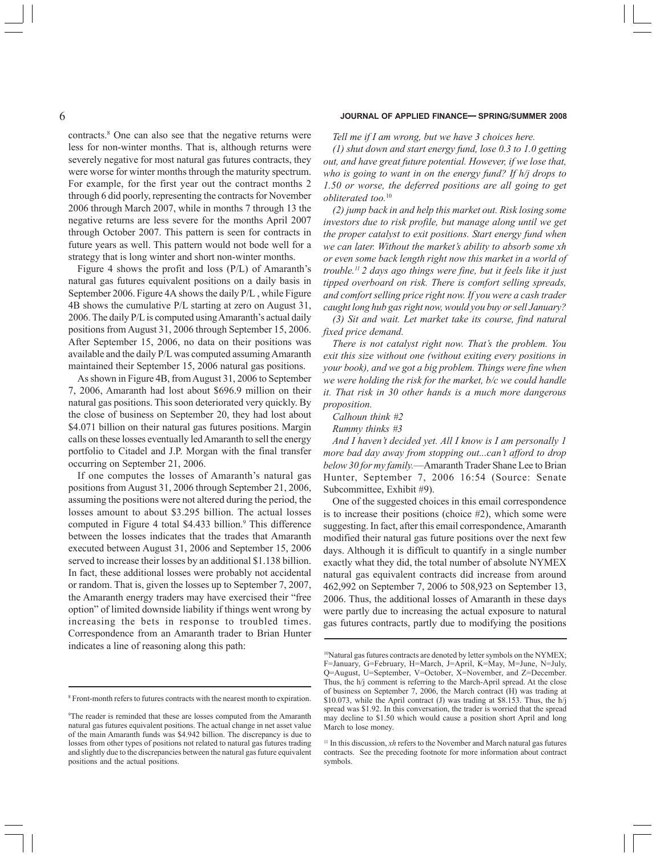contracts.8 One can also see that the negative returns were less for non-winter months. That is, although returns were severely negative for most natural gas futures contracts, they were worse for winter months through the maturity spectrum. For example, for the first year out the contract months 2 through 6 did poorly, representing the contracts for November 2006 through March 2007, while in months 7 through 13 the negative returns are less severe for the months April 2007 through October 2007. This pattern is seen for contracts in future years as well. This pattern would not bode well for a strategy that is long winter and short non-winter months.

Figure 4 shows the profit and loss (P/L) of Amaranth's natural gas futures equivalent positions on a daily basis in September 2006. Figure 4A shows the daily P/L , while Figure 4B shows the cumulative P/L starting at zero on August 31, 2006. The daily P/L is computed using Amaranth's actual daily positions from August 31, 2006 through September 15, 2006. After September 15, 2006, no data on their positions was available and the daily P/L was computed assuming Amaranth maintained their September 15, 2006 natural gas positions.

As shown in Figure 4B, from August 31, 2006 to September 7, 2006, Amaranth had lost about \$696.9 million on their natural gas positions. This soon deteriorated very quickly. By the close of business on September 20, they had lost about \$4.071 billion on their natural gas futures positions. Margin calls on these losses eventually led Amaranth to sell the energy portfolio to Citadel and J.P. Morgan with the final transfer occurring on September 21, 2006.

If one computes the losses of Amaranth's natural gas positions from August 31, 2006 through September 21, 2006, assuming the positions were not altered during the period, the losses amount to about \$3.295 billion. The actual losses computed in Figure 4 total \$4.433 billion.<sup>9</sup> This difference between the losses indicates that the trades that Amaranth executed between August 31, 2006 and September 15, 2006 served to increase their losses by an additional \$1.138 billion. In fact, these additional losses were probably not accidental or random. That is, given the losses up to September 7, 2007, the Amaranth energy traders may have exercised their "free option" of limited downside liability if things went wrong by increasing the bets in response to troubled times. Correspondence from an Amaranth trader to Brian Hunter indicates a line of reasoning along this path:

#### 6 **JOURNAL OF APPLIED FINANCE SPRING/SUMMER 2008**

*Tell me if I am wrong, but we have 3 choices here.*

*(1) shut down and start energy fund, lose 0.3 to 1.0 getting out, and have great future potential. However, if we lose that, who is going to want in on the energy fund? If h/j drops to 1.50 or worse, the deferred positions are all going to get obliterated too.*<sup>10</sup>

*(2) jump back in and help this market out. Risk losing some investors due to risk profile, but manage along until we get the proper catalyst to exit positions. Start energy fund when we can later. Without the market's ability to absorb some xh or even some back length right now this market in a world of trouble.11 2 days ago things were fine, but it feels like it just tipped overboard on risk. There is comfort selling spreads, and comfort selling price right now. If you were a cash trader caught long hub gas right now, would you buy or sell January?*

*(3) Sit and wait. Let market take its course, find natural fixed price demand.*

*There is not catalyst right now. That's the problem. You exit this size without one (without exiting every positions in your book), and we got a big problem. Things were fine when we were holding the risk for the market, b/c we could handle it. That risk in 30 other hands is a much more dangerous proposition.*

*Calhoun think #2*

*Rummy thinks #3*

*And I haven't decided yet. All I know is I am personally 1 more bad day away from stopping out...can't afford to drop below 30 for my family.*—Amaranth Trader Shane Lee to Brian Hunter, September 7, 2006 16:54 (Source: Senate Subcommittee, Exhibit #9).

One of the suggested choices in this email correspondence is to increase their positions (choice #2), which some were suggesting. In fact, after this email correspondence, Amaranth modified their natural gas future positions over the next few days. Although it is difficult to quantify in a single number exactly what they did, the total number of absolute NYMEX natural gas equivalent contracts did increase from around 462,992 on September 7, 2006 to 508,923 on September 13, 2006. Thus, the additional losses of Amaranth in these days were partly due to increasing the actual exposure to natural gas futures contracts, partly due to modifying the positions

<sup>&</sup>lt;sup>8</sup> Front-month refers to futures contracts with the nearest month to expiration.

<sup>9</sup> The reader is reminded that these are losses computed from the Amaranth natural gas futures equivalent positions. The actual change in net asset value of the main Amaranth funds was \$4.942 billion. The discrepancy is due to losses from other types of positions not related to natural gas futures trading and slightly due to the discrepancies between the natural gas future equivalent positions and the actual positions.

<sup>&</sup>lt;sup>10</sup>Natural gas futures contracts are denoted by letter symbols on the NYMEX; F=January, G=February, H=March, J=April, K=May, M=June, N=July, Q=August, U=September, V=October, X=November, and Z=December. Thus, the h/j comment is referring to the March-April spread. At the close of business on September 7, 2006, the March contract (H) was trading at \$10.073, while the April contract (J) was trading at \$8.153. Thus, the h/j spread was \$1.92. In this conversation, the trader is worried that the spread may decline to \$1.50 which would cause a position short April and long March to lose money.

<sup>&</sup>lt;sup>11</sup> In this discussion,  $xh$  refers to the November and March natural gas futures contracts. See the preceding footnote for more information about contract symbols.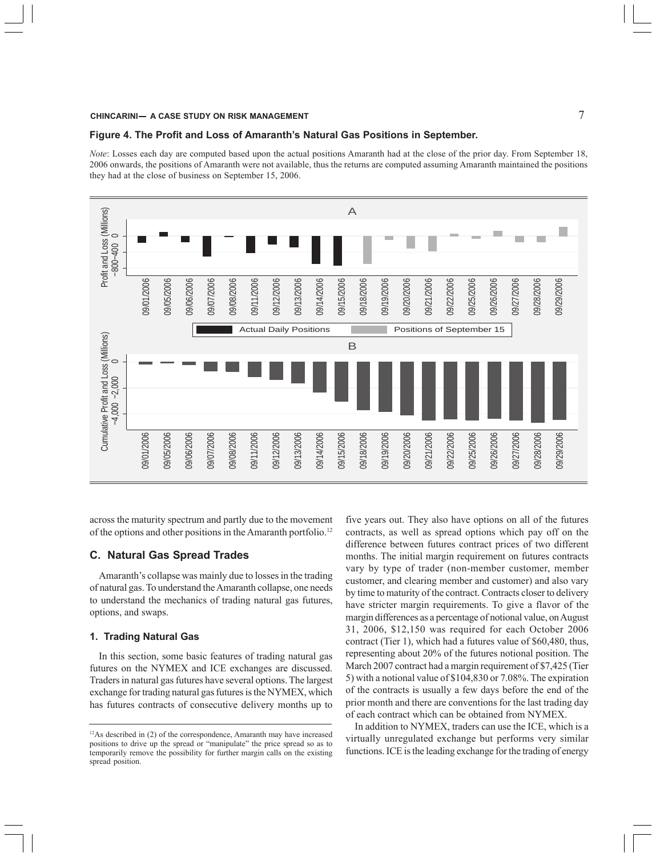# **CHINCARINI— A CASE STUDY ON RISK MANAGEMENT CHINCARINI 7**

# **Figure 4. The Profit and Loss of Amaranth's Natural Gas Positions in September.**

*Note*: Losses each day are computed based upon the actual positions Amaranth had at the close of the prior day. From September 18, 2006 onwards, the positions of Amaranth were not available, thus the returns are computed assuming Amaranth maintained the positions they had at the close of business on September 15, 2006.



across the maturity spectrum and partly due to the movement of the options and other positions in the Amaranth portfolio.<sup>12</sup>

# **C. Natural Gas Spread Trades**

Amaranth's collapse was mainly due to losses in the trading of natural gas. To understand the Amaranth collapse, one needs to understand the mechanics of trading natural gas futures, options, and swaps.

# **1. Trading Natural Gas**

In this section, some basic features of trading natural gas futures on the NYMEX and ICE exchanges are discussed. Traders in natural gas futures have several options. The largest exchange for trading natural gas futures is the NYMEX, which has futures contracts of consecutive delivery months up to five years out. They also have options on all of the futures contracts, as well as spread options which pay off on the difference between futures contract prices of two different months. The initial margin requirement on futures contracts vary by type of trader (non-member customer, member customer, and clearing member and customer) and also vary by time to maturity of the contract. Contracts closer to delivery have stricter margin requirements. To give a flavor of the margin differences as a percentage of notional value, on August 31, 2006, \$12,150 was required for each October 2006 contract (Tier 1), which had a futures value of \$60,480, thus, representing about 20% of the futures notional position. The March 2007 contract had a margin requirement of \$7,425 (Tier 5) with a notional value of \$104,830 or 7.08%. The expiration of the contracts is usually a few days before the end of the prior month and there are conventions for the last trading day of each contract which can be obtained from NYMEX.

In addition to NYMEX, traders can use the ICE, which is a virtually unregulated exchange but performs very similar functions. ICE is the leading exchange for the trading of energy

 $12$ As described in (2) of the correspondence, Amaranth may have increased positions to drive up the spread or "manipulate" the price spread so as to temporarily remove the possibility for further margin calls on the existing spread position.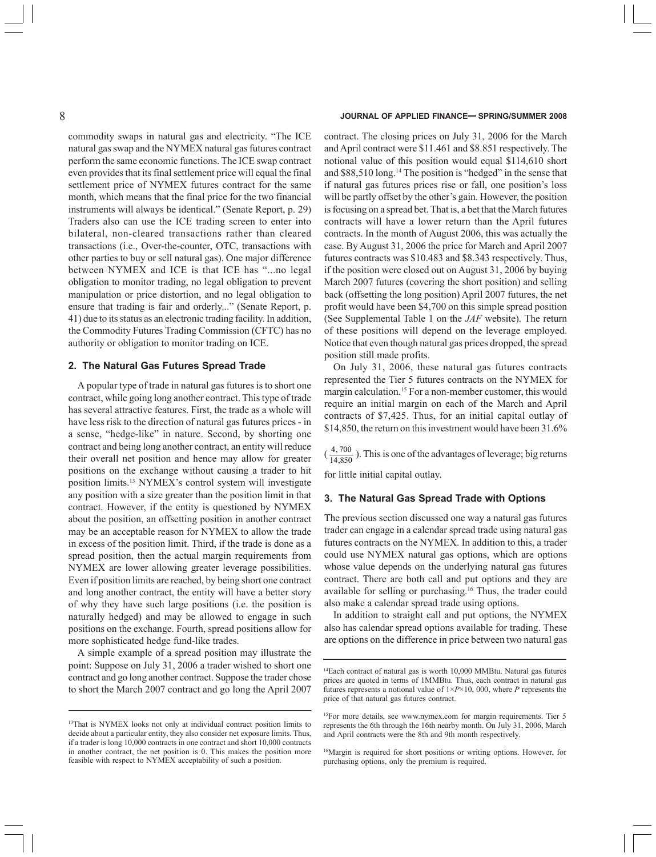commodity swaps in natural gas and electricity. "The ICE natural gas swap and the NYMEX natural gas futures contract perform the same economic functions. The ICE swap contract even provides that its final settlement price will equal the final settlement price of NYMEX futures contract for the same month, which means that the final price for the two financial instruments will always be identical." (Senate Report, p. 29) Traders also can use the ICE trading screen to enter into bilateral, non-cleared transactions rather than cleared transactions (i.e., Over-the-counter, OTC, transactions with other parties to buy or sell natural gas). One major difference between NYMEX and ICE is that ICE has "...no legal obligation to monitor trading, no legal obligation to prevent manipulation or price distortion, and no legal obligation to ensure that trading is fair and orderly..." (Senate Report, p. 41) due to its status as an electronic trading facility. In addition, the Commodity Futures Trading Commission (CFTC) has no authority or obligation to monitor trading on ICE.

#### **2. The Natural Gas Futures Spread Trade**

A popular type of trade in natural gas futures is to short one contract, while going long another contract. This type of trade has several attractive features. First, the trade as a whole will have less risk to the direction of natural gas futures prices - in a sense, "hedge-like" in nature. Second, by shorting one contract and being long another contract, an entity will reduce their overall net position and hence may allow for greater positions on the exchange without causing a trader to hit position limits.13 NYMEX's control system will investigate any position with a size greater than the position limit in that contract. However, if the entity is questioned by NYMEX about the position, an offsetting position in another contract may be an acceptable reason for NYMEX to allow the trade in excess of the position limit. Third, if the trade is done as a spread position, then the actual margin requirements from NYMEX are lower allowing greater leverage possibilities. Even if position limits are reached, by being short one contract and long another contract, the entity will have a better story of why they have such large positions (i.e. the position is naturally hedged) and may be allowed to engage in such positions on the exchange. Fourth, spread positions allow for more sophisticated hedge fund-like trades.

A simple example of a spread position may illustrate the point: Suppose on July 31, 2006 a trader wished to short one contract and go long another contract. Suppose the trader chose to short the March 2007 contract and go long the April 2007

#### 8 **JOURNAL OF APPLIED FINANCE SPRING/SUMMER 2008**

contract. The closing prices on July 31, 2006 for the March and April contract were \$11.461 and \$8.851 respectively. The notional value of this position would equal \$114,610 short and \$88,510 long.14 The position is "hedged" in the sense that if natural gas futures prices rise or fall, one position's loss will be partly offset by the other's gain. However, the position is focusing on a spread bet. That is, a bet that the March futures contracts will have a lower return than the April futures contracts. In the month of August 2006, this was actually the case. By August 31, 2006 the price for March and April 2007 futures contracts was \$10.483 and \$8.343 respectively. Thus, if the position were closed out on August 31, 2006 by buying March 2007 futures (covering the short position) and selling back (offsetting the long position) April 2007 futures, the net profit would have been \$4,700 on this simple spread position (See Supplemental Table 1 on the *JAF* website). The return of these positions will depend on the leverage employed. Notice that even though natural gas prices dropped, the spread position still made profits.

On July 31, 2006, these natural gas futures contracts represented the Tier 5 futures contracts on the NYMEX for margin calculation.<sup>15</sup> For a non-member customer, this would require an initial margin on each of the March and April contracts of \$7,425. Thus, for an initial capital outlay of \$14,850, the return on this investment would have been  $31.6\%$ 

 $(\frac{4,700}{14,850})$ . This is one of the advantages of leverage; big returns

for little initial capital outlay.

#### **3. The Natural Gas Spread Trade with Options**

The previous section discussed one way a natural gas futures trader can engage in a calendar spread trade using natural gas futures contracts on the NYMEX. In addition to this, a trader could use NYMEX natural gas options, which are options whose value depends on the underlying natural gas futures contract. There are both call and put options and they are available for selling or purchasing.16 Thus, the trader could also make a calendar spread trade using options.

In addition to straight call and put options, the NYMEX also has calendar spread options available for trading. These are options on the difference in price between two natural gas

<sup>13</sup>That is NYMEX looks not only at individual contract position limits to decide about a particular entity, they also consider net exposure limits. Thus, if a trader is long 10,000 contracts in one contract and short 10,000 contracts in another contract, the net position is 0. This makes the position more feasible with respect to NYMEX acceptability of such a position.

<sup>&</sup>lt;sup>14</sup>Each contract of natural gas is worth 10,000 MMBtu. Natural gas futures prices are quoted in terms of 1MMBtu. Thus, each contract in natural gas futures represents a notional value of 1×*P*×10, 000, where *P* represents the price of that natural gas futures contract.

<sup>&</sup>lt;sup>15</sup>For more details, see www.nymex.com for margin requirements. Tier 5 represents the 6th through the 16th nearby month. On July 31, 2006, March and April contracts were the 8th and 9th month respectively.

<sup>16</sup>Margin is required for short positions or writing options. However, for purchasing options, only the premium is required.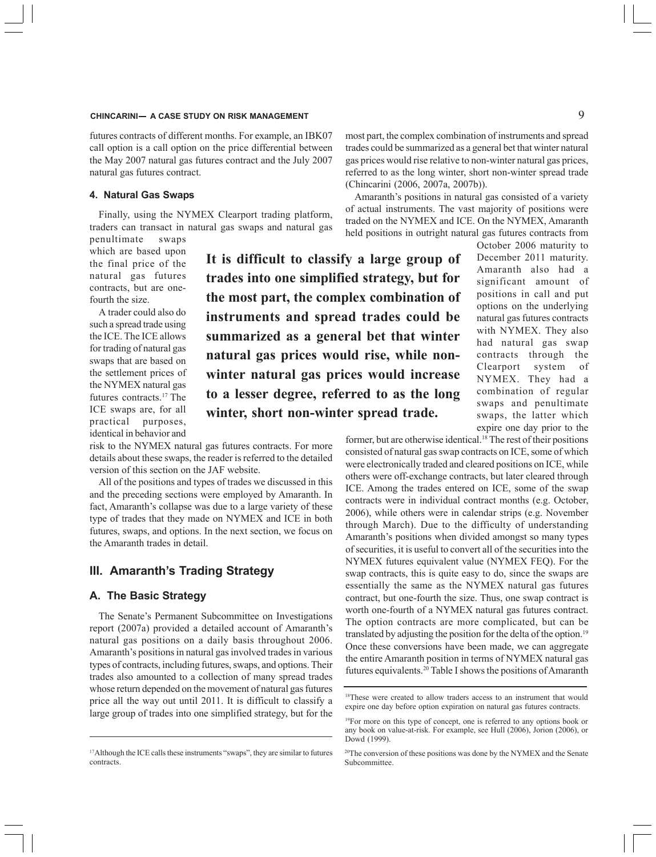# **CHINCARINI— A CASE STUDY ON RISK MANAGEMENT STATES AND A CASE STUDY ON RISK MANAGEMENT**

futures contracts of different months. For example, an IBK07 call option is a call option on the price differential between the May 2007 natural gas futures contract and the July 2007 natural gas futures contract.

#### **4. Natural Gas Swaps**

Finally, using the NYMEX Clearport trading platform, traders can transact in natural gas swaps and natural gas

penultimate swaps which are based upon the final price of the natural gas futures contracts, but are onefourth the size.

A trader could also do such a spread trade using the ICE. The ICE allows for trading of natural gas swaps that are based on the settlement prices of the NYMEX natural gas futures contracts.17 The ICE swaps are, for all practical purposes, identical in behavior and

**It is difficult to classify a large group of trades into one simplified strategy, but for the most part, the complex combination of instruments and spread trades could be summarized as a general bet that winter natural gas prices would rise, while nonwinter natural gas prices would increase to a lesser degree, referred to as the long winter, short non-winter spread trade.**

risk to the NYMEX natural gas futures contracts. For more details about these swaps, the reader is referred to the detailed version of this section on the JAF website.

All of the positions and types of trades we discussed in this and the preceding sections were employed by Amaranth. In fact, Amaranth's collapse was due to a large variety of these type of trades that they made on NYMEX and ICE in both futures, swaps, and options. In the next section, we focus on the Amaranth trades in detail.

# **III. Amaranth's Trading Strategy**

# **A. The Basic Strategy**

The Senate's Permanent Subcommittee on Investigations report (2007a) provided a detailed account of Amaranth's natural gas positions on a daily basis throughout 2006. Amaranth's positions in natural gas involved trades in various types of contracts, including futures, swaps, and options. Their trades also amounted to a collection of many spread trades whose return depended on the movement of natural gas futures price all the way out until 2011. It is difficult to classify a large group of trades into one simplified strategy, but for the most part, the complex combination of instruments and spread trades could be summarized as a general bet that winter natural gas prices would rise relative to non-winter natural gas prices, referred to as the long winter, short non-winter spread trade (Chincarini (2006, 2007a, 2007b)).

Amaranth's positions in natural gas consisted of a variety of actual instruments. The vast majority of positions were traded on the NYMEX and ICE. On the NYMEX, Amaranth held positions in outright natural gas futures contracts from

> October 2006 maturity to December 2011 maturity. Amaranth also had a significant amount of positions in call and put options on the underlying natural gas futures contracts with NYMEX. They also had natural gas swap contracts through the Clearport system of NYMEX. They had a combination of regular swaps and penultimate swaps, the latter which expire one day prior to the

former, but are otherwise identical.18 The rest of their positions consisted of natural gas swap contracts on ICE, some of which were electronically traded and cleared positions on ICE, while others were off-exchange contracts, but later cleared through ICE. Among the trades entered on ICE, some of the swap contracts were in individual contract months (e.g. October, 2006), while others were in calendar strips (e.g. November through March). Due to the difficulty of understanding Amaranth's positions when divided amongst so many types of securities, it is useful to convert all of the securities into the NYMEX futures equivalent value (NYMEX FEQ). For the swap contracts, this is quite easy to do, since the swaps are essentially the same as the NYMEX natural gas futures contract, but one-fourth the size. Thus, one swap contract is worth one-fourth of a NYMEX natural gas futures contract. The option contracts are more complicated, but can be translated by adjusting the position for the delta of the option.19 Once these conversions have been made, we can aggregate the entire Amaranth position in terms of NYMEX natural gas futures equivalents.20 Table I shows the positions of Amaranth

<sup>&</sup>lt;sup>17</sup>Although the ICE calls these instruments "swaps", they are similar to futures contracts.

<sup>&</sup>lt;sup>18</sup>These were created to allow traders access to an instrument that would expire one day before option expiration on natural gas futures contracts.

<sup>&</sup>lt;sup>19</sup>For more on this type of concept, one is referred to any options book or any book on value-at-risk. For example, see Hull (2006), Jorion (2006), or Dowd (1999).

<sup>&</sup>lt;sup>20</sup>The conversion of these positions was done by the NYMEX and the Senate Subcommittee.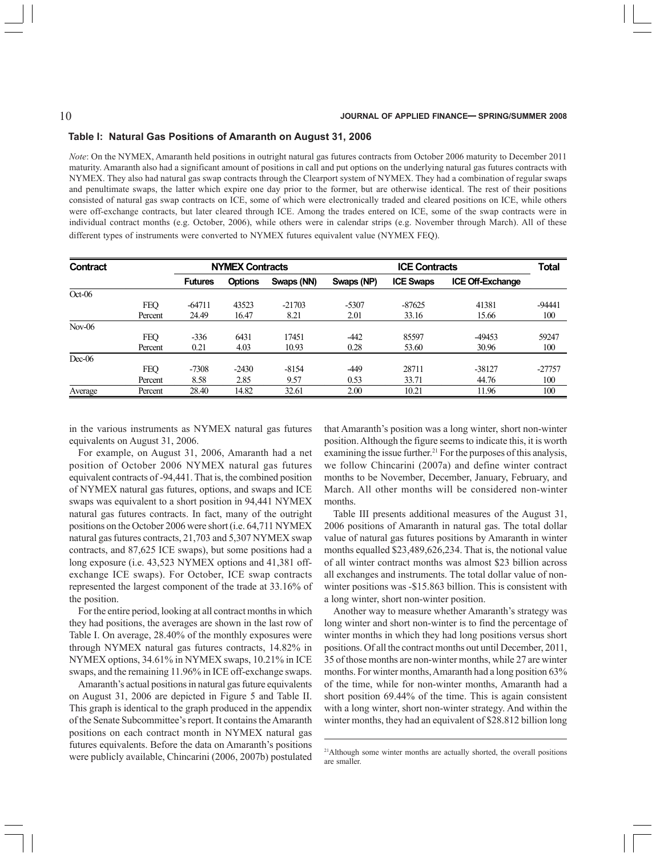#### **Table I: Natural Gas Positions of Amaranth on August 31, 2006**

*Note*: On the NYMEX, Amaranth held positions in outright natural gas futures contracts from October 2006 maturity to December 2011 maturity. Amaranth also had a significant amount of positions in call and put options on the underlying natural gas futures contracts with NYMEX. They also had natural gas swap contracts through the Clearport system of NYMEX. They had a combination of regular swaps and penultimate swaps, the latter which expire one day prior to the former, but are otherwise identical. The rest of their positions consisted of natural gas swap contracts on ICE, some of which were electronically traded and cleared positions on ICE, while others were off-exchange contracts, but later cleared through ICE. Among the trades entered on ICE, some of the swap contracts were in individual contract months (e.g. October, 2006), while others were in calendar strips (e.g. November through March). All of these different types of instruments were converted to NYMEX futures equivalent value (NYMEX FEQ).

| Contract |            | <b>NYMEX Contracts</b> |                |            |            | <b>Total</b>     |                  |          |
|----------|------------|------------------------|----------------|------------|------------|------------------|------------------|----------|
|          |            | <b>Futures</b>         | <b>Options</b> | Swaps (NN) | Swaps (NP) | <b>ICE Swaps</b> | ICE Off-Exchange |          |
| $Oct-06$ |            |                        |                |            |            |                  |                  |          |
|          | <b>FEO</b> | $-64711$               | 43523          | $-21703$   | $-5307$    | $-87625$         | 41381            | $-94441$ |
|          | Percent    | 24.49                  | 16.47          | 8.21       | 2.01       | 33.16            | 15.66            | 100      |
| $Nov-06$ |            |                        |                |            |            |                  |                  |          |
|          | <b>FEO</b> | $-336$                 | 6431           | 17451      | $-442$     | 85597            | -49453           | 59247    |
|          | Percent    | 0.21                   | 4.03           | 10.93      | 0.28       | 53.60            | 30.96            | 100      |
| $Dec-06$ |            |                        |                |            |            |                  |                  |          |
|          | <b>FEO</b> | $-7308$                | $-2430$        | $-8154$    | -449       | 28711            | $-38127$         | $-27757$ |
|          | Percent    | 8.58                   | 2.85           | 9.57       | 0.53       | 33.71            | 44.76            | 100      |
| Average  | Percent    | 28.40                  | 14.82          | 32.61      | 2.00       | 10.21            | 11.96            | 100      |

in the various instruments as NYMEX natural gas futures equivalents on August 31, 2006.

For example, on August 31, 2006, Amaranth had a net position of October 2006 NYMEX natural gas futures equivalent contracts of -94,441. That is, the combined position of NYMEX natural gas futures, options, and swaps and ICE swaps was equivalent to a short position in 94,441 NYMEX natural gas futures contracts. In fact, many of the outright positions on the October 2006 were short (i.e. 64,711 NYMEX natural gas futures contracts, 21,703 and 5,307 NYMEX swap contracts, and 87,625 ICE swaps), but some positions had a long exposure (i.e. 43,523 NYMEX options and 41,381 offexchange ICE swaps). For October, ICE swap contracts represented the largest component of the trade at 33.16% of the position.

For the entire period, looking at all contract months in which they had positions, the averages are shown in the last row of Table I. On average, 28.40% of the monthly exposures were through NYMEX natural gas futures contracts, 14.82% in NYMEX options, 34.61% in NYMEX swaps, 10.21% in ICE swaps, and the remaining 11.96% in ICE off-exchange swaps.

Amaranth's actual positions in natural gas future equivalents on August 31, 2006 are depicted in Figure 5 and Table II. This graph is identical to the graph produced in the appendix of the Senate Subcommittee's report. It contains the Amaranth positions on each contract month in NYMEX natural gas futures equivalents. Before the data on Amaranth's positions were publicly available, Chincarini (2006, 2007b) postulated that Amaranth's position was a long winter, short non-winter position. Although the figure seems to indicate this, it is worth examining the issue further.<sup>21</sup> For the purposes of this analysis, we follow Chincarini (2007a) and define winter contract months to be November, December, January, February, and March. All other months will be considered non-winter months.

Table III presents additional measures of the August 31, 2006 positions of Amaranth in natural gas. The total dollar value of natural gas futures positions by Amaranth in winter months equalled \$23,489,626,234. That is, the notional value of all winter contract months was almost \$23 billion across all exchanges and instruments. The total dollar value of nonwinter positions was -\$15.863 billion. This is consistent with a long winter, short non-winter position.

Another way to measure whether Amaranth's strategy was long winter and short non-winter is to find the percentage of winter months in which they had long positions versus short positions. Of all the contract months out until December, 2011, 35 of those months are non-winter months, while 27 are winter months. For winter months, Amaranth had a long position 63% of the time, while for non-winter months, Amaranth had a short position 69.44% of the time. This is again consistent with a long winter, short non-winter strategy. And within the winter months, they had an equivalent of \$28.812 billion long

<sup>21</sup>Although some winter months are actually shorted, the overall positions are smaller.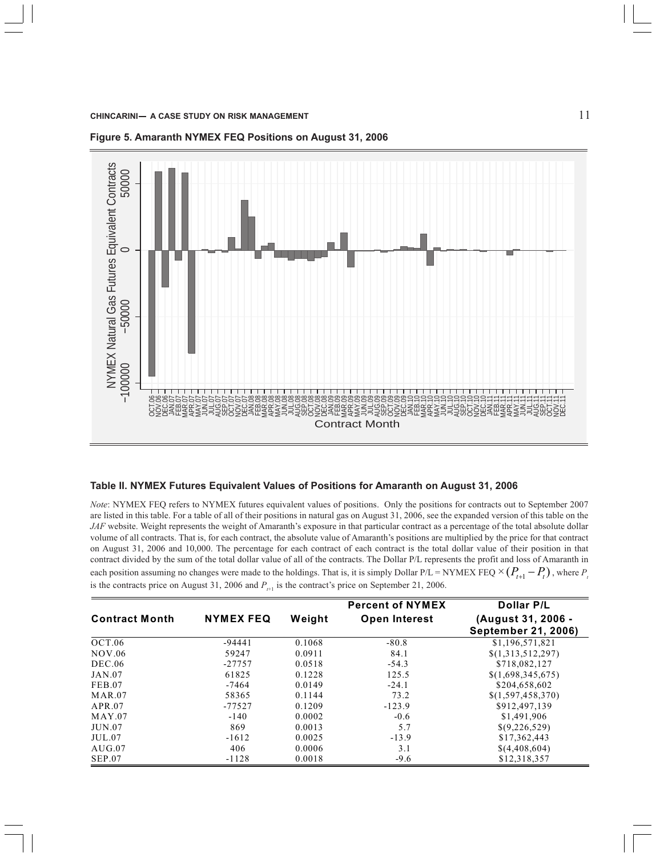

#### **Figure 5. Amaranth NYMEX FEQ Positions on August 31, 2006**

#### **Table II. NYMEX Futures Equivalent Values of Positions for Amaranth on August 31, 2006**

*Note*: NYMEX FEQ refers to NYMEX futures equivalent values of positions. Only the positions for contracts out to September 2007 are listed in this table. For a table of all of their positions in natural gas on August 31, 2006, see the expanded version of this table on the *JAF* website. Weight represents the weight of Amaranth's exposure in that particular contract as a percentage of the total absolute dollar volume of all contracts. That is, for each contract, the absolute value of Amaranth's positions are multiplied by the price for that contract on August 31, 2006 and 10,000. The percentage for each contract of each contract is the total dollar value of their position in that contract divided by the sum of the total dollar value of all of the contracts. The Dollar P/L represents the profit and loss of Amaranth in each position assuming no changes were made to the holdings. That is, it is simply Dollar P/L = NYMEX FEQ  $\times (P_{t+1} - P_t)$ , where  $P_t$  is the contracts price on August 31, 2006 and  $P_{t+1}$  is the contract's price on Septe

|                       |                  |        | <b>Percent of NYMEX</b> | Dollar P/L                                |
|-----------------------|------------------|--------|-------------------------|-------------------------------------------|
| <b>Contract Month</b> | <b>NYMEX FEQ</b> | Weight | <b>Open Interest</b>    | (August 31, 2006 -<br>September 21, 2006) |
| OCT.06                | $-94441$         | 0.1068 | $-80.8$                 | \$1,196,571,821                           |
| NOV.06                | 59247            | 0.0911 | 84.1                    | \$(1,313,512,297)                         |
| DEC.06                | $-27757$         | 0.0518 | $-54.3$                 | \$718,082,127                             |
| <b>JAN.07</b>         | 61825            | 0.1228 | 125.5                   | \$(1,698,345,675)                         |
| <b>FEB.07</b>         | $-7464$          | 0.0149 | $-24.1$                 | \$204,658,602                             |
| MAR.07                | 58365            | 0.1144 | 73.2                    | \$(1,597,458,370)                         |
| APR.07                | $-77527$         | 0.1209 | $-123.9$                | \$912,497,139                             |
| MAX.07                | $-140$           | 0.0002 | $-0.6$                  | \$1,491,906                               |
| <b>JUN.07</b>         | 869              | 0.0013 | 5.7                     | \$(9,226,529)                             |
| JUL.07                | $-1612$          | 0.0025 | $-13.9$                 | \$17,362,443                              |
| AUG.07                | 406              | 0.0006 | 3.1                     | \$(4,408,604)                             |
| SEP.07                | $-1128$          | 0.0018 | $-9.6$                  | \$12,318,357                              |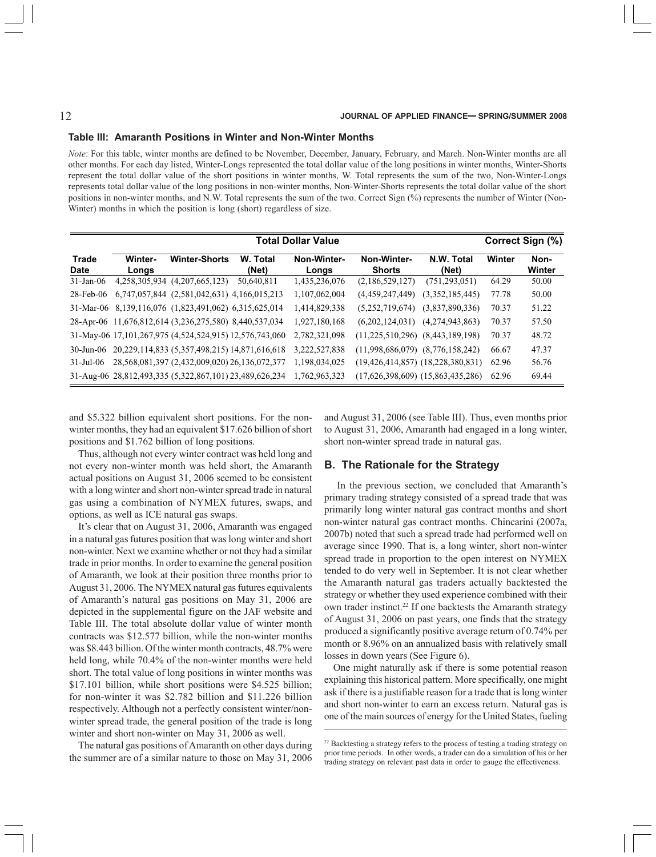#### **Table III: Amaranth Positions in Winter and Non-Winter Months**

*Note*: For this table, winter months are defined to be November, December, January, February, and March. Non-Winter months are all other months. For each day listed, Winter-Longs represented the total dollar value of the long positions in winter months, Winter-Shorts represent the total dollar value of the short positions in winter months, W. Total represents the sum of the two, Non-Winter-Longs represents total dollar value of the long positions in non-winter months, Non-Winter-Shorts represents the total dollar value of the short positions in non-winter months, and N.W. Total represents the sum of the two. Correct Sign (%) represents the number of Winter (Non-Winter) months in which the position is long (short) regardless of size.

|                             | <b>Total Dollar Value</b> |                                                         |                   |                      |                                       |                     |        | Correct Sign (%) |  |
|-----------------------------|---------------------------|---------------------------------------------------------|-------------------|----------------------|---------------------------------------|---------------------|--------|------------------|--|
| <b>Trade</b><br><b>Date</b> | Winter-<br>Longs          | <b>Winter-Shorts</b>                                    | W. Total<br>(Net) | Non-Winter-<br>Longs | Non-Winter-<br><b>Shorts</b>          | N.W. Total<br>(Net) | Winter | Non-<br>Winter   |  |
| $31$ -Jan-06                |                           | 4,258,305,934 (4,207,665,123)                           | 50,640,811        | 1,435,236,076        | (2,186,529,127)                       | (751, 293, 051)     | 64.29  | 50.00            |  |
| $28$ -Feb-06                |                           | 6,747,057,844 (2,581,042,631) 4,166,015,213             |                   | 1,107,062,004        | (4,459,247,449)                       | (3,352,185,445)     | 77.78  | 50.00            |  |
|                             |                           | 31-Mar-06 8,139,116,076 (1,823,491,062) 6,315,625,014   |                   | 1,414,829,338        | (5,252,719,674)                       | (3,837,890,336)     | 70.37  | 51.22            |  |
|                             |                           | 28-Apr-06 11,676,812,614 (3,236,275,580) 8,440,537,034  |                   | 1,927,180,168        | (6,202,124,031)                       | (4,274,943,863)     | 70.37  | 57.50            |  |
|                             |                           | 31-May-06 17,101,267,975 (4,524,524,915) 12,576,743,060 |                   | 2,782,321,098        | $(11,225,510,296)$ $(8,443,189,198)$  |                     | 70.37  | 48.72            |  |
| 30-Jun-06                   |                           | 20, 229, 114, 833 (5, 357, 498, 215) 14, 871, 616, 618  |                   | 3,222,527,838        | $(11,998,686,079)$ $(8,776,158,242)$  |                     | 66.67  | 47.37            |  |
| $31$ -Jul-06                |                           | 28,568,081,397 (2,432,009,020) 26,136,072,377           |                   | 1,198,034,025        | $(19,426,414,857)$ $(18,228,380,831)$ |                     | 62.96  | 56.76            |  |
|                             |                           | 31-Aug-06 28,812,493,335 (5,322,867,101) 23,489,626,234 |                   | 1,762,963,323        | $(17,626,398,609)$ $(15,863,435,286)$ |                     | 62.96  | 69.44            |  |

and \$5.322 billion equivalent short positions. For the nonwinter months, they had an equivalent \$17.626 billion of short positions and \$1.762 billion of long positions.

Thus, although not every winter contract was held long and not every non-winter month was held short, the Amaranth actual positions on August 31, 2006 seemed to be consistent with a long winter and short non-winter spread trade in natural gas using a combination of NYMEX futures, swaps, and options, as well as ICE natural gas swaps.

It's clear that on August 31, 2006, Amaranth was engaged in a natural gas futures position that was long winter and short non-winter. Next we examine whether or not they had a similar trade in prior months. In order to examine the general position of Amaranth, we look at their position three months prior to August 31, 2006. The NYMEX natural gas futures equivalents of Amaranth's natural gas positions on May 31, 2006 are depicted in the supplemental figure on the JAF website and Table III. The total absolute dollar value of winter month contracts was \$12.577 billion, while the non-winter months was \$8.443 billion. Of the winter month contracts, 48.7% were held long, while 70.4% of the non-winter months were held short. The total value of long positions in winter months was \$17.101 billion, while short positions were \$4.525 billion; for non-winter it was \$2.782 billion and \$11.226 billion respectively. Although not a perfectly consistent winter/nonwinter spread trade, the general position of the trade is long winter and short non-winter on May 31, 2006 as well.

The natural gas positions of Amaranth on other days during the summer are of a similar nature to those on May 31, 2006 and August 31, 2006 (see Table III). Thus, even months prior to August 31, 2006, Amaranth had engaged in a long winter, short non-winter spread trade in natural gas.

#### **B. The Rationale for the Strategy**

 In the previous section, we concluded that Amaranth's primary trading strategy consisted of a spread trade that was primarily long winter natural gas contract months and short non-winter natural gas contract months. Chincarini (2007a, 2007b) noted that such a spread trade had performed well on average since 1990. That is, a long winter, short non-winter spread trade in proportion to the open interest on NYMEX tended to do very well in September. It is not clear whether the Amaranth natural gas traders actually backtested the strategy or whether they used experience combined with their own trader instinct.<sup>22</sup> If one backtests the Amaranth strategy of August 31, 2006 on past years, one finds that the strategy produced a significantly positive average return of 0.74% per month or 8.96% on an annualized basis with relatively small losses in down years (See Figure 6).

One might naturally ask if there is some potential reason explaining this historical pattern. More specifically, one might ask if there is a justifiable reason for a trade that is long winter and short non-winter to earn an excess return. Natural gas is one of the main sources of energy for the United States, fueling

<sup>&</sup>lt;sup>22</sup> Backtesting a strategy refers to the process of testing a trading strategy on prior time periods. In other words, a trader can do a simulation of his or her trading strategy on relevant past data in order to gauge the effectiveness.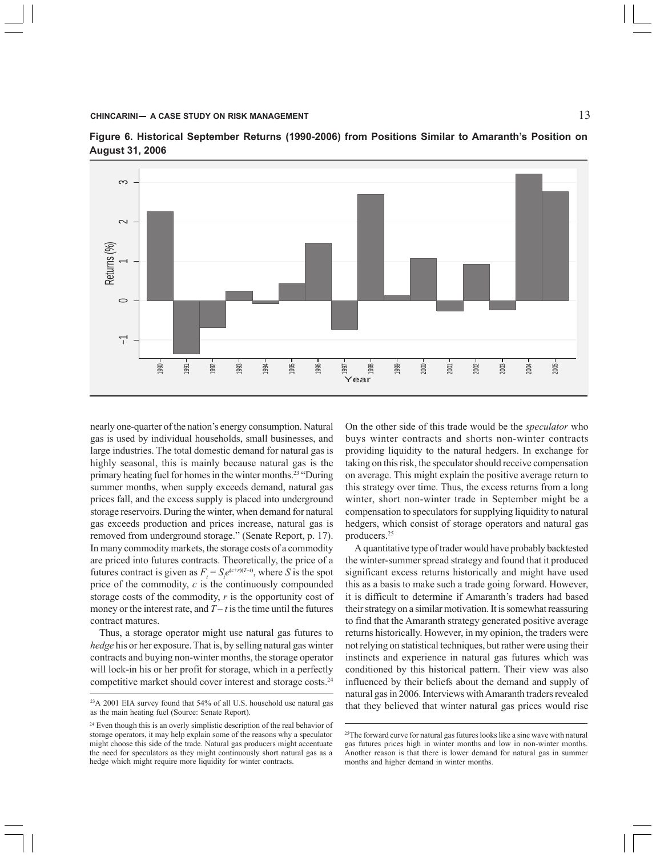

**Figure 6. Historical September Returns (1990-2006) from Positions Similar to Amaranth's Position on August 31, 2006**

nearly one-quarter of the nation's energy consumption. Natural gas is used by individual households, small businesses, and large industries. The total domestic demand for natural gas is highly seasonal, this is mainly because natural gas is the primary heating fuel for homes in the winter months.<sup>23</sup> "During summer months, when supply exceeds demand, natural gas prices fall, and the excess supply is placed into underground storage reservoirs. During the winter, when demand for natural gas exceeds production and prices increase, natural gas is removed from underground storage." (Senate Report, p. 17). In many commodity markets, the storage costs of a commodity are priced into futures contracts. Theoretically, the price of a futures contract is given as  $F_t = S_t e^{(c+r)(T-t)}$ , where *S* is the spot price of the commodity, *c* is the continuously compounded storage costs of the commodity, *r* is the opportunity cost of money or the interest rate, and  $T - t$  is the time until the futures contract matures.

Thus, a storage operator might use natural gas futures to *hedge* his or her exposure. That is, by selling natural gas winter contracts and buying non-winter months, the storage operator will lock-in his or her profit for storage, which in a perfectly competitive market should cover interest and storage costs.24

On the other side of this trade would be the *speculator* who buys winter contracts and shorts non-winter contracts providing liquidity to the natural hedgers. In exchange for taking on this risk, the speculator should receive compensation on average. This might explain the positive average return to this strategy over time. Thus, the excess returns from a long winter, short non-winter trade in September might be a compensation to speculators for supplying liquidity to natural hedgers, which consist of storage operators and natural gas producers.25

A quantitative type of trader would have probably backtested the winter-summer spread strategy and found that it produced significant excess returns historically and might have used this as a basis to make such a trade going forward. However, it is difficult to determine if Amaranth's traders had based their strategy on a similar motivation. It is somewhat reassuring to find that the Amaranth strategy generated positive average returns historically. However, in my opinion, the traders were not relying on statistical techniques, but rather were using their instincts and experience in natural gas futures which was conditioned by this historical pattern. Their view was also influenced by their beliefs about the demand and supply of natural gas in 2006. Interviews with Amaranth traders revealed that they believed that winter natural gas prices would rise

<sup>23</sup>A 2001 EIA survey found that 54% of all U.S. household use natural gas as the main heating fuel (Source: Senate Report).

<sup>&</sup>lt;sup>24</sup> Even though this is an overly simplistic description of the real behavior of storage operators, it may help explain some of the reasons why a speculator might choose this side of the trade. Natural gas producers might accentuate the need for speculators as they might continuously short natural gas as a hedge which might require more liquidity for winter contracts.

<sup>&</sup>lt;sup>25</sup>The forward curve for natural gas futures looks like a sine wave with natural gas futures prices high in winter months and low in non-winter months. Another reason is that there is lower demand for natural gas in summer months and higher demand in winter months.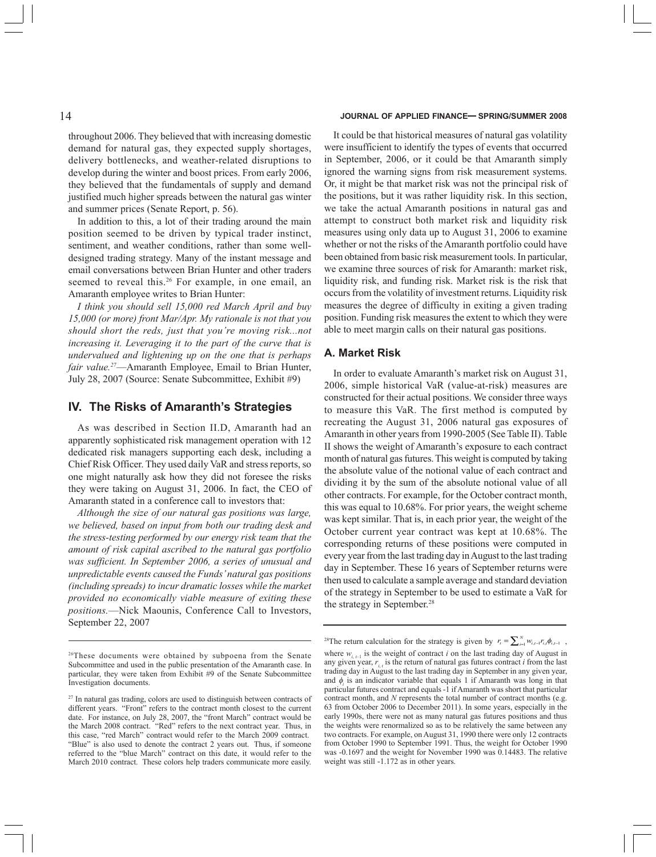# throughout 2006. They believed that with increasing domestic demand for natural gas, they expected supply shortages, delivery bottlenecks, and weather-related disruptions to develop during the winter and boost prices. From early 2006, they believed that the fundamentals of supply and demand justified much higher spreads between the natural gas winter and summer prices (Senate Report, p. 56).

In addition to this, a lot of their trading around the main position seemed to be driven by typical trader instinct, sentiment, and weather conditions, rather than some welldesigned trading strategy. Many of the instant message and email conversations between Brian Hunter and other traders seemed to reveal this.<sup>26</sup> For example, in one email, an Amaranth employee writes to Brian Hunter:

*I think you should sell 15,000 red March April and buy 15,000 (or more) front Mar/Apr. My rationale is not that you should short the reds, just that you're moving risk...not increasing it. Leveraging it to the part of the curve that is undervalued and lightening up on the one that is perhaps fair value.27*—Amaranth Employee, Email to Brian Hunter, July 28, 2007 (Source: Senate Subcommittee, Exhibit #9)

### **IV. The Risks of Amaranth's Strategies**

As was described in Section II.D, Amaranth had an apparently sophisticated risk management operation with 12 dedicated risk managers supporting each desk, including a Chief Risk Officer. They used daily VaR and stress reports, so one might naturally ask how they did not foresee the risks they were taking on August 31, 2006. In fact, the CEO of Amaranth stated in a conference call to investors that:

*Although the size of our natural gas positions was large, we believed, based on input from both our trading desk and the stress-testing performed by our energy risk team that the amount of risk capital ascribed to the natural gas portfolio was sufficient. In September 2006, a series of unusual and unpredictable events caused the Funds' natural gas positions (including spreads) to incur dramatic losses while the market provided no economically viable measure of exiting these positions.*—Nick Maounis, Conference Call to Investors, September 22, 2007

### 14 **JOURNAL OF APPLIED FINANCE SPRING/SUMMER 2008**

It could be that historical measures of natural gas volatility were insufficient to identify the types of events that occurred in September, 2006, or it could be that Amaranth simply ignored the warning signs from risk measurement systems. Or, it might be that market risk was not the principal risk of the positions, but it was rather liquidity risk. In this section, we take the actual Amaranth positions in natural gas and attempt to construct both market risk and liquidity risk measures using only data up to August 31, 2006 to examine whether or not the risks of the Amaranth portfolio could have been obtained from basic risk measurement tools. In particular, we examine three sources of risk for Amaranth: market risk, liquidity risk, and funding risk. Market risk is the risk that occurs from the volatility of investment returns. Liquidity risk measures the degree of difficulty in exiting a given trading position. Funding risk measures the extent to which they were able to meet margin calls on their natural gas positions.

### **A. Market Risk**

In order to evaluate Amaranth's market risk on August 31, 2006, simple historical VaR (value-at-risk) measures are constructed for their actual positions. We consider three ways to measure this VaR. The first method is computed by recreating the August 31, 2006 natural gas exposures of Amaranth in other years from 1990-2005 (See Table II). Table II shows the weight of Amaranth's exposure to each contract month of natural gas futures. This weight is computed by taking the absolute value of the notional value of each contract and dividing it by the sum of the absolute notional value of all other contracts. For example, for the October contract month, this was equal to 10.68%. For prior years, the weight scheme was kept similar. That is, in each prior year, the weight of the October current year contract was kept at 10.68%. The corresponding returns of these positions were computed in every year from the last trading day in August to the last trading day in September. These 16 years of September returns were then used to calculate a sample average and standard deviation of the strategy in September to be used to estimate a VaR for the strategy in September.<sup>28</sup>

<sup>26</sup>These documents were obtained by subpoena from the Senate Subcommittee and used in the public presentation of the Amaranth case. In particular, they were taken from Exhibit #9 of the Senate Subcommittee Investigation documents.

<sup>&</sup>lt;sup>27</sup> In natural gas trading, colors are used to distinguish between contracts of different years. "Front" refers to the contract month closest to the current date. For instance, on July 28, 2007, the "front March" contract would be the March 2008 contract. "Red" refers to the next contract year. Thus, in this case, "red March" contract would refer to the March 2009 contract. "Blue" is also used to denote the contract 2 years out. Thus, if someone referred to the "blue March" contract on this date, it would refer to the March 2010 contract. These colors help traders communicate more easily.

<sup>&</sup>lt;sup>28</sup>The return calculation for the strategy is given by  $r_i = \sum_{i=1}^{N} w_{i,i-1} r_{i,i} \phi_{i,i-1}$ , where  $w_{i,j}$  is the weight of contract *i* on the last trading day of August in any given year,  $r_{i,t}$  is the return of natural gas futures contract *i* from the last trading day in August to the last trading day in September in any given year, and  $\phi$ <sub>i</sub> is an indicator variable that equals 1 if Amaranth was long in that particular futures contract and equals -1 if Amaranth was short that particular contract month, and *N* represents the total number of contract months (e.g. 63 from October 2006 to December 2011). In some years, especially in the early 1990s, there were not as many natural gas futures positions and thus the weights were renormalized so as to be relatively the same between any two contracts. For example, on August 31, 1990 there were only 12 contracts from October 1990 to September 1991. Thus, the weight for October 1990 was -0.1697 and the weight for November 1990 was 0.14483. The relative weight was still -1.172 as in other years.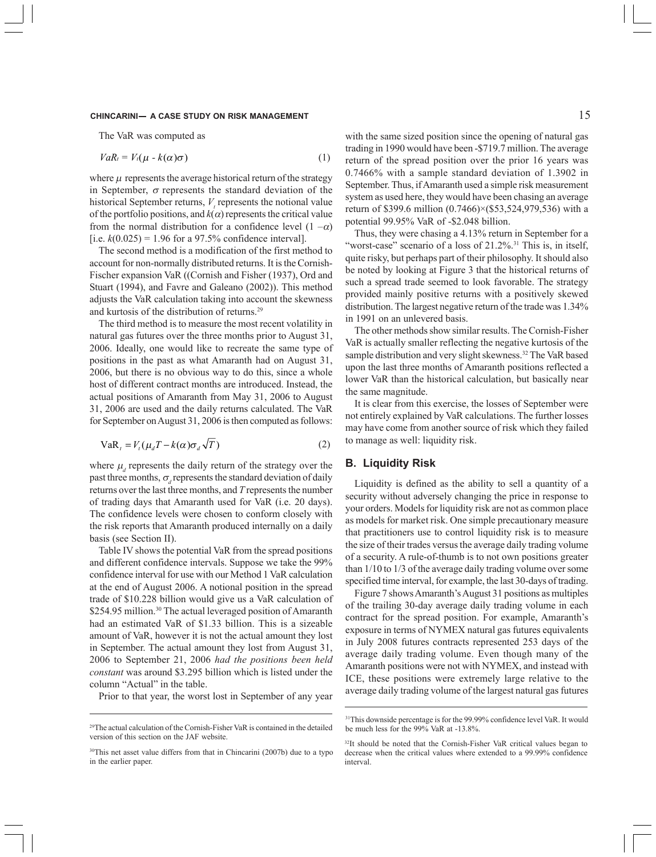The VaR was computed as

$$
VaR_t = V_t(\mu - k(\alpha)\sigma) \tag{1}
$$

where  $\mu$  represents the average historical return of the strategy in September,  $\sigma$  represents the standard deviation of the historical September returns,  $V<sub>t</sub>$  represents the notional value of the portfolio positions, and  $k(\alpha)$  represents the critical value from the normal distribution for a confidence level  $(1 - \alpha)$ [i.e.  $k(0.025) = 1.96$  for a 97.5% confidence interval].

The second method is a modification of the first method to account for non-normally distributed returns. It is the Cornish-Fischer expansion VaR ((Cornish and Fisher (1937), Ord and Stuart (1994), and Favre and Galeano (2002)). This method adjusts the VaR calculation taking into account the skewness and kurtosis of the distribution of returns.29

The third method is to measure the most recent volatility in natural gas futures over the three months prior to August 31, 2006. Ideally, one would like to recreate the same type of positions in the past as what Amaranth had on August 31, 2006, but there is no obvious way to do this, since a whole host of different contract months are introduced. Instead, the actual positions of Amaranth from May 31, 2006 to August 31, 2006 are used and the daily returns calculated. The VaR for September on August 31, 2006 is then computed as follows:

$$
VaR_t = V_t(\mu_d T - k(\alpha)\sigma_d \sqrt{T})
$$
\n(2)

where  $\mu_d$  represents the daily return of the strategy over the past three months,  $\sigma_d$  represents the standard deviation of daily returns over the last three months, and *T* represents the number of trading days that Amaranth used for VaR (i.e. 20 days). The confidence levels were chosen to conform closely with the risk reports that Amaranth produced internally on a daily basis (see Section II).

Table IV shows the potential VaR from the spread positions and different confidence intervals. Suppose we take the 99% confidence interval for use with our Method 1 VaR calculation at the end of August 2006. A notional position in the spread trade of \$10.228 billion would give us a VaR calculation of \$254.95 million.<sup>30</sup> The actual leveraged position of Amaranth had an estimated VaR of \$1.33 billion. This is a sizeable amount of VaR, however it is not the actual amount they lost in September. The actual amount they lost from August 31, 2006 to September 21, 2006 *had the positions been held constant* was around \$3.295 billion which is listed under the column "Actual" in the table.

Prior to that year, the worst lost in September of any year

with the same sized position since the opening of natural gas trading in 1990 would have been -\$719.7 million. The average return of the spread position over the prior 16 years was 0.7466% with a sample standard deviation of 1.3902 in September. Thus, if Amaranth used a simple risk measurement system as used here, they would have been chasing an average return of \$399.6 million (0.7466)×(\$53,524,979,536) with a potential 99.95% VaR of -\$2.048 billion.

Thus, they were chasing a 4.13% return in September for a "worst-case" scenario of a loss of 21.2%.<sup>31</sup> This is, in itself, quite risky, but perhaps part of their philosophy. It should also be noted by looking at Figure 3 that the historical returns of such a spread trade seemed to look favorable. The strategy provided mainly positive returns with a positively skewed distribution. The largest negative return of the trade was 1.34% in 1991 on an unlevered basis.

The other methods show similar results. The Cornish-Fisher VaR is actually smaller reflecting the negative kurtosis of the sample distribution and very slight skewness.<sup>32</sup> The VaR based upon the last three months of Amaranth positions reflected a lower VaR than the historical calculation, but basically near the same magnitude.

It is clear from this exercise, the losses of September were not entirely explained by VaR calculations. The further losses may have come from another source of risk which they failed to manage as well: liquidity risk.

# **B. Liquidity Risk**

Liquidity is defined as the ability to sell a quantity of a security without adversely changing the price in response to your orders. Models for liquidity risk are not as common place as models for market risk. One simple precautionary measure that practitioners use to control liquidity risk is to measure the size of their trades versus the average daily trading volume of a security. A rule-of-thumb is to not own positions greater than 1/10 to 1/3 of the average daily trading volume over some specified time interval, for example, the last 30-days of trading.

Figure 7 shows Amaranth's August 31 positions as multiples of the trailing 30-day average daily trading volume in each contract for the spread position. For example, Amaranth's exposure in terms of NYMEX natural gas futures equivalents in July 2008 futures contracts represented 253 days of the average daily trading volume. Even though many of the Amaranth positions were not with NYMEX, and instead with ICE, these positions were extremely large relative to the average daily trading volume of the largest natural gas futures

<sup>29</sup>The actual calculation of the Cornish-Fisher VaR is contained in the detailed version of this section on the JAF website.

<sup>30</sup>This net asset value differs from that in Chincarini (2007b) due to a typo in the earlier paper.

<sup>&</sup>lt;sup>31</sup>This downside percentage is for the 99.99% confidence level VaR. It would be much less for the 99% VaR at -13.8%.

<sup>&</sup>lt;sup>32</sup>It should be noted that the Cornish-Fisher VaR critical values began to decrease when the critical values where extended to a 99.99% confidence interval.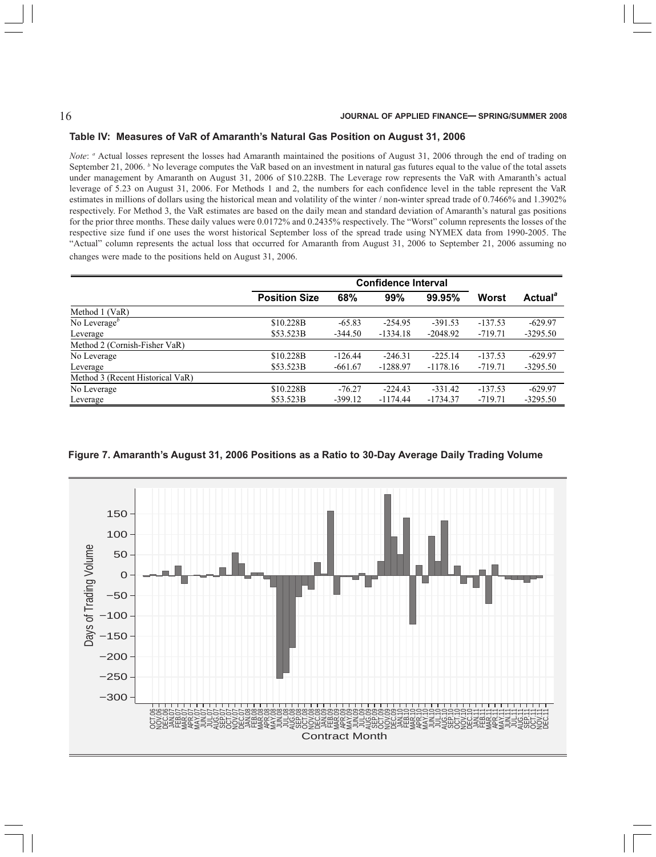### **Table IV: Measures of VaR of Amaranth's Natural Gas Position on August 31, 2006**

*Note*: *a* Actual losses represent the losses had Amaranth maintained the positions of August 31, 2006 through the end of trading on September 21, 2006. <sup>*b*</sup> No leverage computes the VaR based on an investment in natural gas futures equal to the value of the total assets under management by Amaranth on August 31, 2006 of \$10.228B. The Leverage row represents the VaR with Amaranth's actual leverage of 5.23 on August 31, 2006. For Methods 1 and 2, the numbers for each confidence level in the table represent the VaR estimates in millions of dollars using the historical mean and volatility of the winter / non-winter spread trade of 0.7466% and 1.3902% respectively. For Method 3, the VaR estimates are based on the daily mean and standard deviation of Amaranth's natural gas positions for the prior three months. These daily values were 0.0172% and 0.2435% respectively. The "Worst" column represents the losses of the respective size fund if one uses the worst historical September loss of the spread trade using NYMEX data from 1990-2005. The "Actual" column represents the actual loss that occurred for Amaranth from August 31, 2006 to September 21, 2006 assuming no changes were made to the positions held on August 31, 2006.

|                                  |                      | <b>Confidence Interval</b> |            |            |           |                     |
|----------------------------------|----------------------|----------------------------|------------|------------|-----------|---------------------|
|                                  | <b>Position Size</b> | 68%                        | 99%        | 99.95%     | Worst     | Actual <sup>"</sup> |
| Method 1 (VaR)                   |                      |                            |            |            |           |                     |
| No Leverage <sup><i>n</i></sup>  | \$10.228B            | $-65.83$                   | $-254.95$  | $-391.53$  | $-137.53$ | $-629.97$           |
| Leverage                         | \$53.523B            | $-344.50$                  | $-1334.18$ | $-2048.92$ | $-719.71$ | $-3295.50$          |
| Method 2 (Cornish-Fisher VaR)    |                      |                            |            |            |           |                     |
| No Leverage                      | \$10.228B            | $-126.44$                  | $-246.31$  | $-225.14$  | $-137.53$ | $-629.97$           |
| Leverage                         | \$53.523B            | $-661.67$                  | $-1288.97$ | $-1178.16$ | $-719.71$ | $-3295.50$          |
| Method 3 (Recent Historical VaR) |                      |                            |            |            |           |                     |
| No Leverage                      | \$10.228B            | $-76.27$                   | $-224.43$  | $-331.42$  | $-137.53$ | $-629.97$           |
| Leverage                         | \$53.523B            | $-399.12$                  | $-1174.44$ | $-1734.37$ | $-719.71$ | $-3295.50$          |



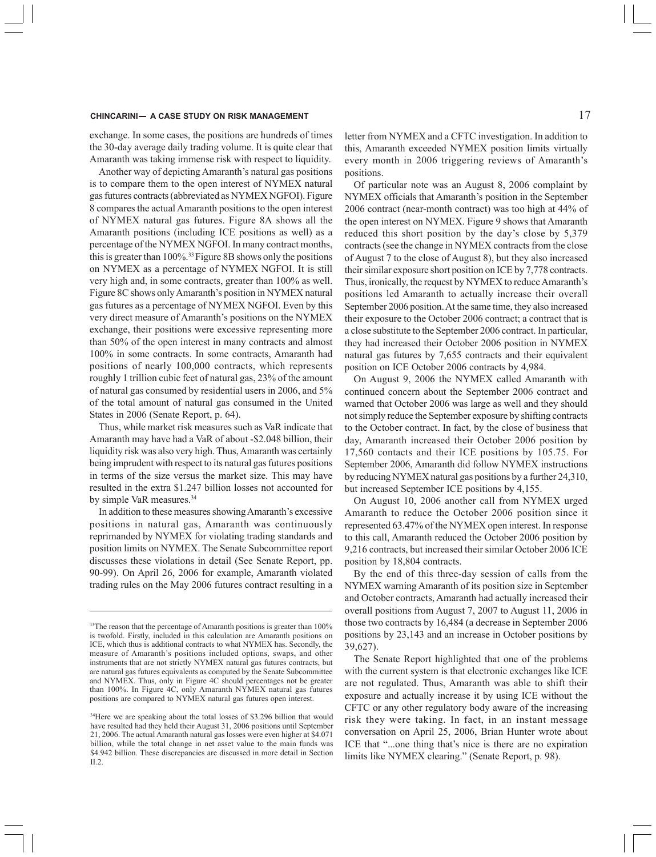exchange. In some cases, the positions are hundreds of times the 30-day average daily trading volume. It is quite clear that Amaranth was taking immense risk with respect to liquidity.

Another way of depicting Amaranth's natural gas positions is to compare them to the open interest of NYMEX natural gas futures contracts (abbreviated as NYMEX NGFOI). Figure 8 compares the actual Amaranth positions to the open interest of NYMEX natural gas futures. Figure 8A shows all the Amaranth positions (including ICE positions as well) as a percentage of the NYMEX NGFOI. In many contract months, this is greater than  $100\%$ .<sup>33</sup> Figure 8B shows only the positions on NYMEX as a percentage of NYMEX NGFOI. It is still very high and, in some contracts, greater than 100% as well. Figure 8C shows only Amaranth's position in NYMEX natural gas futures as a percentage of NYMEX NGFOI. Even by this very direct measure of Amaranth's positions on the NYMEX exchange, their positions were excessive representing more than 50% of the open interest in many contracts and almost 100% in some contracts. In some contracts, Amaranth had positions of nearly 100,000 contracts, which represents roughly 1 trillion cubic feet of natural gas, 23% of the amount of natural gas consumed by residential users in 2006, and 5% of the total amount of natural gas consumed in the United States in 2006 (Senate Report, p. 64).

Thus, while market risk measures such as VaR indicate that Amaranth may have had a VaR of about -\$2.048 billion, their liquidity risk was also very high. Thus, Amaranth was certainly being imprudent with respect to its natural gas futures positions in terms of the size versus the market size. This may have resulted in the extra \$1.247 billion losses not accounted for by simple VaR measures.<sup>34</sup>

In addition to these measures showing Amaranth's excessive positions in natural gas, Amaranth was continuously reprimanded by NYMEX for violating trading standards and position limits on NYMEX. The Senate Subcommittee report discusses these violations in detail (See Senate Report, pp. 90-99). On April 26, 2006 for example, Amaranth violated trading rules on the May 2006 futures contract resulting in a letter from NYMEX and a CFTC investigation. In addition to this, Amaranth exceeded NYMEX position limits virtually every month in 2006 triggering reviews of Amaranth's positions.

Of particular note was an August 8, 2006 complaint by NYMEX officials that Amaranth's position in the September 2006 contract (near-month contract) was too high at 44% of the open interest on NYMEX. Figure 9 shows that Amaranth reduced this short position by the day's close by 5,379 contracts (see the change in NYMEX contracts from the close of August 7 to the close of August 8), but they also increased their similar exposure short position on ICE by 7,778 contracts. Thus, ironically, the request by NYMEX to reduce Amaranth's positions led Amaranth to actually increase their overall September 2006 position. At the same time, they also increased their exposure to the October 2006 contract; a contract that is a close substitute to the September 2006 contract. In particular, they had increased their October 2006 position in NYMEX natural gas futures by 7,655 contracts and their equivalent position on ICE October 2006 contracts by 4,984.

On August 9, 2006 the NYMEX called Amaranth with continued concern about the September 2006 contract and warned that October 2006 was large as well and they should not simply reduce the September exposure by shifting contracts to the October contract. In fact, by the close of business that day, Amaranth increased their October 2006 position by 17,560 contacts and their ICE positions by 105.75. For September 2006, Amaranth did follow NYMEX instructions by reducing NYMEX natural gas positions by a further 24,310, but increased September ICE positions by 4,155.

On August 10, 2006 another call from NYMEX urged Amaranth to reduce the October 2006 position since it represented 63.47% of the NYMEX open interest. In response to this call, Amaranth reduced the October 2006 position by 9,216 contracts, but increased their similar October 2006 ICE position by 18,804 contracts.

By the end of this three-day session of calls from the NYMEX warning Amaranth of its position size in September and October contracts, Amaranth had actually increased their overall positions from August 7, 2007 to August 11, 2006 in those two contracts by 16,484 (a decrease in September 2006 positions by 23,143 and an increase in October positions by 39,627).

The Senate Report highlighted that one of the problems with the current system is that electronic exchanges like ICE are not regulated. Thus, Amaranth was able to shift their exposure and actually increase it by using ICE without the CFTC or any other regulatory body aware of the increasing risk they were taking. In fact, in an instant message conversation on April 25, 2006, Brian Hunter wrote about ICE that "...one thing that's nice is there are no expiration limits like NYMEX clearing." (Senate Report, p. 98).

<sup>&</sup>lt;sup>33</sup>The reason that the percentage of Amaranth positions is greater than 100% is twofold. Firstly, included in this calculation are Amaranth positions on ICE, which thus is additional contracts to what NYMEX has. Secondly, the measure of Amaranth's positions included options, swaps, and other instruments that are not strictly NYMEX natural gas futures contracts, but are natural gas futures equivalents as computed by the Senate Subcommittee and NYMEX. Thus, only in Figure 4C should percentages not be greater than 100%. In Figure 4C, only Amaranth NYMEX natural gas futures positions are compared to NYMEX natural gas futures open interest.

<sup>&</sup>lt;sup>34</sup>Here we are speaking about the total losses of \$3.296 billion that would have resulted had they held their August 31, 2006 positions until September 21, 2006. The actual Amaranth natural gas losses were even higher at \$4.071 billion, while the total change in net asset value to the main funds was \$4.942 billion. These discrepancies are discussed in more detail in Section II.2.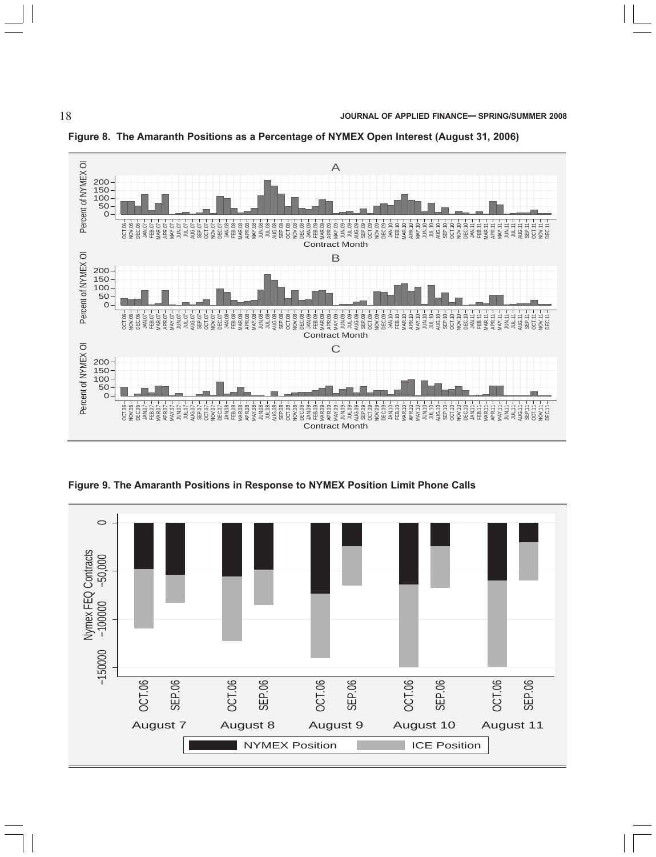Percent of NYMEX OI A Percent of NYMEX OI 200<br>150<br>100 50  $\overline{O}$ JUN.08 DEC.08-NOV.08 06<br>DOC 06<br>DOC 06<br>DOC 06 06 07<br>DOC 06 07 07<br>DOC 06 07 07 07 JUN.07 JUL.07 AUG.07 D<br>B D D D D B 8 8 8 8<br>B D D D A E B 4 2 8<br>B D D D A E E 4 4 2<br>S D D D A E E 4 4 2 JUL.08 AUG.08 SEP.08 OCT.08 8<br>주문 8 8 8 9 8 9 8<br>HEA 4 2 3 4 9 9<br>APR 4 2 3 4 9 9 SEP.09 OCT.09 NOV.09 DEC.09 JAN.10 FEB.10 MAR.10 APR.10 MAY.10 JUN.10 JUL.10 AUG.10 SEP.10 OCT.10 NOV.10 DEC.10 JAN.11 FEB.11 MAR.11 APR.11 MAY.11 JUN.11 JUL.11 AUG.11 SEP.11 OCT.11 NOV.11 DEC.11 Contract Month Percent of NYMEX OI B Percent of NYMEX OI 200 150 100 50 0 OCT.06 NOV.06 DEC.06 JAN.07 FEB.07 MAR.07 APR.07 MAY.07 JUN.07 JUL.07 AUG.07 SEP.07 OCT.07 NOV.07 DEC.07 JAN.08 FEB.08 MAR.08 APR.08 MAY.08 JUN.08 JUL.08 AUG.08 SEP.08 OCT.08 NOV.08 DEC.08 JAN.09 FEB.09 MAR.09 APR.09 MAY.09 JUN.09 JUL.09 AUG.09 SEP.09 OCT.09 NOV.09 DEC.09 JAN.10 FEB.10 MAR.10 APR.10 MAY.10 JUN.10 JUL.10 AUG.10 SEP.10 OCT.10 NOV.10 DEC.10 JAN.11 FEB.11 MAR.11 APR.11 MAY.11 JUN.11 JUL.11 AUG.11 SEP.11 OCT.11 NOV.11 DEC.11 Contract Month Percent of NYMEX OI Percent of NYMEX OI C200 150 100 50  $\Omega$ OCT.06 NOV.06 DEC.06 JAN.07 FEB.07 MAR.07 APR.07 MAY.07 JUN.07 JUL.07 AUG.07 SEP.07 OCT.07 NOV.07 DEC.07 JAN.08 FEB.08 MAR.08 APR.08 MAY.08 JUN.08 JUL.08 AUG.08 SEP.08 OCT.08 NOV.08 DEC.08 JAN.09 FEB.09 MAR.09 APR.09 MAY.09 JUN.09 JUL.09 AUG.09 SEP.09 OCT.09 NOV.09 DEC.09 JAN.10 FEB.10 MAR.10 APR.10 MAY.10 JUN.10 JUL.10 AUG.10 SEP.10 OCT.10 NOV.10 DEC.10 JAN.11 FEB.11 MAR.11 APR.11 MAY.11 JUN.11 JUL.11 AUG.11 SEP.11 OCT.11 NOV.11 DEC.11 Contract Month



**Figure 9. The Amaranth Positions in Response to NYMEX Position Limit Phone Calls**

![](_page_17_Figure_4.jpeg)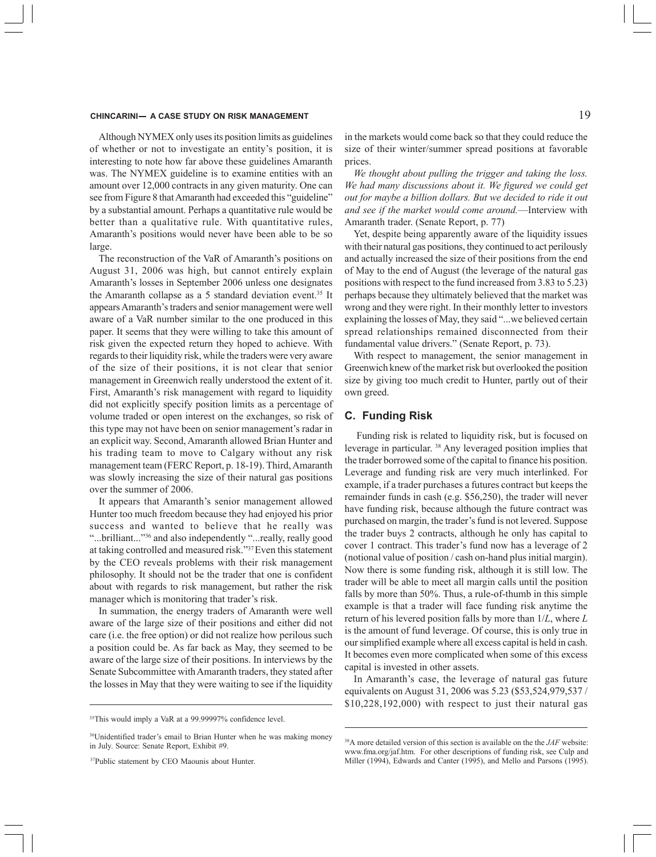Although NYMEX only uses its position limits as guidelines of whether or not to investigate an entity's position, it is interesting to note how far above these guidelines Amaranth was. The NYMEX guideline is to examine entities with an amount over 12,000 contracts in any given maturity. One can see from Figure 8 that Amaranth had exceeded this "guideline" by a substantial amount. Perhaps a quantitative rule would be better than a qualitative rule. With quantitative rules, Amaranth's positions would never have been able to be so large.

The reconstruction of the VaR of Amaranth's positions on August 31, 2006 was high, but cannot entirely explain Amaranth's losses in September 2006 unless one designates the Amaranth collapse as a 5 standard deviation event.<sup>35</sup> It appears Amaranth's traders and senior management were well aware of a VaR number similar to the one produced in this paper. It seems that they were willing to take this amount of risk given the expected return they hoped to achieve. With regards to their liquidity risk, while the traders were very aware of the size of their positions, it is not clear that senior management in Greenwich really understood the extent of it. First, Amaranth's risk management with regard to liquidity did not explicitly specify position limits as a percentage of volume traded or open interest on the exchanges, so risk of this type may not have been on senior management's radar in an explicit way. Second, Amaranth allowed Brian Hunter and his trading team to move to Calgary without any risk management team (FERC Report, p. 18-19). Third, Amaranth was slowly increasing the size of their natural gas positions over the summer of 2006.

It appears that Amaranth's senior management allowed Hunter too much freedom because they had enjoyed his prior success and wanted to believe that he really was "...brilliant..."<sup>36</sup> and also independently "...really, really good at taking controlled and measured risk."37 Even this statement by the CEO reveals problems with their risk management philosophy. It should not be the trader that one is confident about with regards to risk management, but rather the risk manager which is monitoring that trader's risk.

In summation, the energy traders of Amaranth were well aware of the large size of their positions and either did not care (i.e. the free option) or did not realize how perilous such a position could be. As far back as May, they seemed to be aware of the large size of their positions. In interviews by the Senate Subcommittee with Amaranth traders, they stated after the losses in May that they were waiting to see if the liquidity

in the markets would come back so that they could reduce the size of their winter/summer spread positions at favorable prices.

*We thought about pulling the trigger and taking the loss. We had many discussions about it. We figured we could get out for maybe a billion dollars. But we decided to ride it out and see if the market would come around.*—Interview with Amaranth trader. (Senate Report, p. 77)

Yet, despite being apparently aware of the liquidity issues with their natural gas positions, they continued to act perilously and actually increased the size of their positions from the end of May to the end of August (the leverage of the natural gas positions with respect to the fund increased from 3.83 to 5.23) perhaps because they ultimately believed that the market was wrong and they were right. In their monthly letter to investors explaining the losses of May, they said "...we believed certain spread relationships remained disconnected from their fundamental value drivers." (Senate Report, p. 73).

With respect to management, the senior management in Greenwich knew of the market risk but overlooked the position size by giving too much credit to Hunter, partly out of their own greed.

### **C. Funding Risk**

 Funding risk is related to liquidity risk, but is focused on leverage in particular. 38 Any leveraged position implies that the trader borrowed some of the capital to finance his position. Leverage and funding risk are very much interlinked. For example, if a trader purchases a futures contract but keeps the remainder funds in cash (e.g. \$56,250), the trader will never have funding risk, because although the future contract was purchased on margin, the trader's fund is not levered. Suppose the trader buys 2 contracts, although he only has capital to cover 1 contract. This trader's fund now has a leverage of 2 (notional value of position / cash on-hand plus initial margin). Now there is some funding risk, although it is still low. The trader will be able to meet all margin calls until the position falls by more than 50%. Thus, a rule-of-thumb in this simple example is that a trader will face funding risk anytime the return of his levered position falls by more than 1/*L*, where *L* is the amount of fund leverage. Of course, this is only true in our simplified example where all excess capital is held in cash. It becomes even more complicated when some of this excess capital is invested in other assets.

In Amaranth's case, the leverage of natural gas future equivalents on August 31, 2006 was 5.23 (\$53,524,979,537 / \$10,228,192,000) with respect to just their natural gas

<sup>&</sup>lt;sup>35</sup>This would imply a VaR at a 99.99997% confidence level.

<sup>36</sup>Unidentified trader's email to Brian Hunter when he was making money in July. Source: Senate Report, Exhibit #9.

<sup>37</sup>Public statement by CEO Maounis about Hunter.

<sup>38</sup>A more detailed version of this section is available on the the *JAF* website: www.fma.org/jaf.htm. For other descriptions of funding risk, see Culp and Miller (1994), Edwards and Canter (1995), and Mello and Parsons (1995).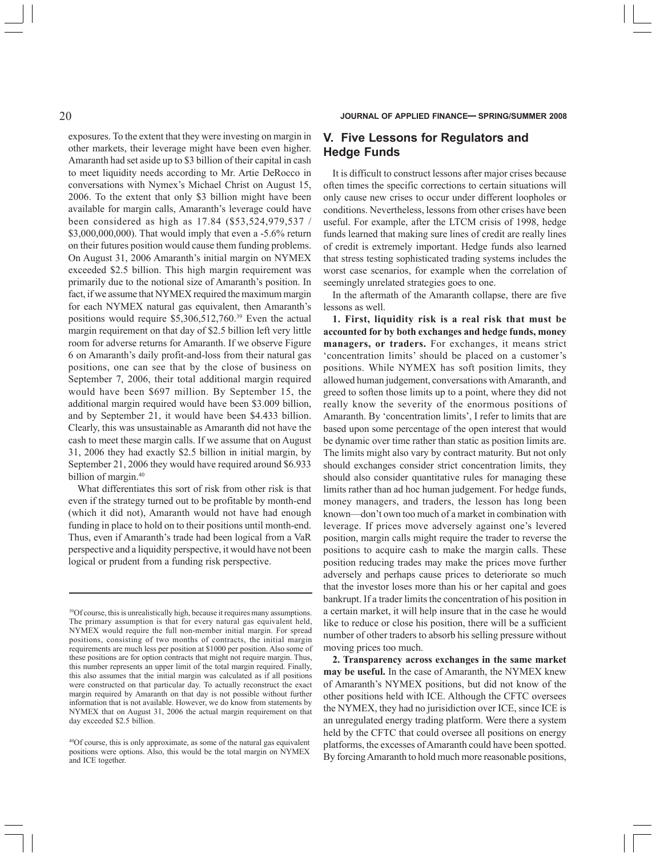exposures. To the extent that they were investing on margin in other markets, their leverage might have been even higher. Amaranth had set aside up to \$3 billion of their capital in cash to meet liquidity needs according to Mr. Artie DeRocco in conversations with Nymex's Michael Christ on August 15, 2006. To the extent that only \$3 billion might have been available for margin calls, Amaranth's leverage could have been considered as high as 17.84 (\$53,524,979,537 / \$3,000,000,000). That would imply that even a -5.6% return on their futures position would cause them funding problems. On August 31, 2006 Amaranth's initial margin on NYMEX exceeded \$2.5 billion. This high margin requirement was primarily due to the notional size of Amaranth's position. In fact, if we assume that NYMEX required the maximum margin for each NYMEX natural gas equivalent, then Amaranth's positions would require \$5,306,512,760.39 Even the actual margin requirement on that day of \$2.5 billion left very little room for adverse returns for Amaranth. If we observe Figure 6 on Amaranth's daily profit-and-loss from their natural gas positions, one can see that by the close of business on September 7, 2006, their total additional margin required would have been \$697 million. By September 15, the additional margin required would have been \$3.009 billion, and by September 21, it would have been \$4.433 billion. Clearly, this was unsustainable as Amaranth did not have the cash to meet these margin calls. If we assume that on August 31, 2006 they had exactly \$2.5 billion in initial margin, by September 21, 2006 they would have required around \$6.933 billion of margin.<sup>40</sup>

What differentiates this sort of risk from other risk is that even if the strategy turned out to be profitable by month-end (which it did not), Amaranth would not have had enough funding in place to hold on to their positions until month-end. Thus, even if Amaranth's trade had been logical from a VaR perspective and a liquidity perspective, it would have not been logical or prudent from a funding risk perspective.

#### 20 **JOURNAL OF APPLIED FINANCE SPRING/SUMMER 2008**

# **V. Five Lessons for Regulators and Hedge Funds**

It is difficult to construct lessons after major crises because often times the specific corrections to certain situations will only cause new crises to occur under different loopholes or conditions. Nevertheless, lessons from other crises have been useful. For example, after the LTCM crisis of 1998, hedge funds learned that making sure lines of credit are really lines of credit is extremely important. Hedge funds also learned that stress testing sophisticated trading systems includes the worst case scenarios, for example when the correlation of seemingly unrelated strategies goes to one.

In the aftermath of the Amaranth collapse, there are five lessons as well.

**1. First, liquidity risk is a real risk that must be accounted for by both exchanges and hedge funds, money managers, or traders.** For exchanges, it means strict 'concentration limits' should be placed on a customer's positions. While NYMEX has soft position limits, they allowed human judgement, conversations with Amaranth, and greed to soften those limits up to a point, where they did not really know the severity of the enormous positions of Amaranth. By 'concentration limits', I refer to limits that are based upon some percentage of the open interest that would be dynamic over time rather than static as position limits are. The limits might also vary by contract maturity. But not only should exchanges consider strict concentration limits, they should also consider quantitative rules for managing these limits rather than ad hoc human judgement. For hedge funds, money managers, and traders, the lesson has long been known—don't own too much of a market in combination with leverage. If prices move adversely against one's levered position, margin calls might require the trader to reverse the positions to acquire cash to make the margin calls. These position reducing trades may make the prices move further adversely and perhaps cause prices to deteriorate so much that the investor loses more than his or her capital and goes bankrupt. If a trader limits the concentration of his position in a certain market, it will help insure that in the case he would like to reduce or close his position, there will be a sufficient number of other traders to absorb his selling pressure without moving prices too much.

**2. Transparency across exchanges in the same market may be useful.** In the case of Amaranth, the NYMEX knew of Amaranth's NYMEX positions, but did not know of the other positions held with ICE. Although the CFTC oversees the NYMEX, they had no jurisidiction over ICE, since ICE is an unregulated energy trading platform. Were there a system held by the CFTC that could oversee all positions on energy platforms, the excesses of Amaranth could have been spotted. By forcing Amaranth to hold much more reasonable positions,

<sup>&</sup>lt;sup>39</sup>Of course, this is unrealistically high, because it requires many assumptions. The primary assumption is that for every natural gas equivalent held, NYMEX would require the full non-member initial margin. For spread positions, consisting of two months of contracts, the initial margin requirements are much less per position at \$1000 per position. Also some of these positions are for option contracts that might not require margin. Thus, this number represents an upper limit of the total margin required. Finally, this also assumes that the initial margin was calculated as if all positions were constructed on that particular day. To actually reconstruct the exact margin required by Amaranth on that day is not possible without further information that is not available. However, we do know from statements by NYMEX that on August 31, 2006 the actual margin requirement on that day exceeded \$2.5 billion.

<sup>40</sup>Of course, this is only approximate, as some of the natural gas equivalent positions were options. Also, this would be the total margin on NYMEX and ICE together.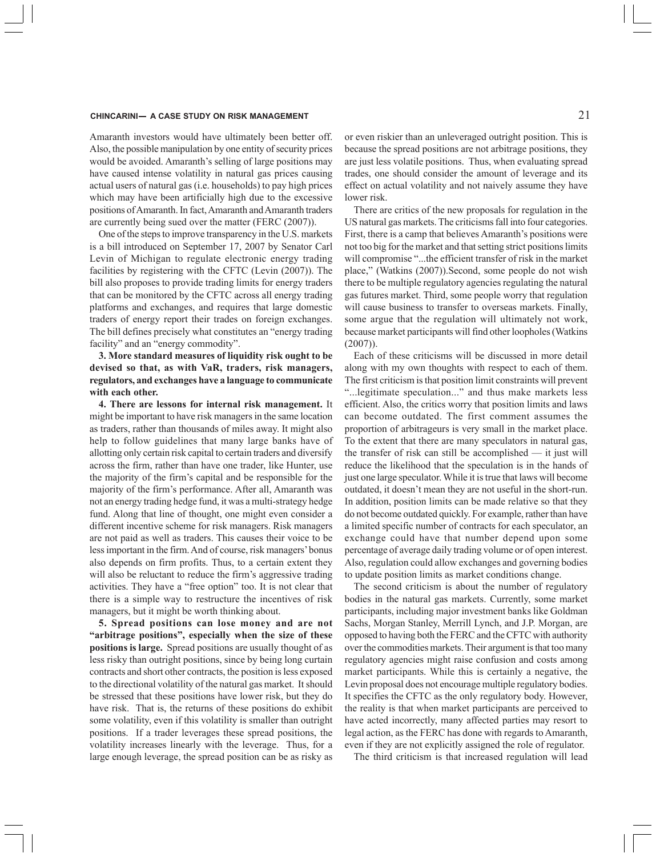Amaranth investors would have ultimately been better off. Also, the possible manipulation by one entity of security prices would be avoided. Amaranth's selling of large positions may have caused intense volatility in natural gas prices causing actual users of natural gas (i.e. households) to pay high prices which may have been artificially high due to the excessive positions of Amaranth. In fact, Amaranth and Amaranth traders are currently being sued over the matter (FERC (2007)).

One of the steps to improve transparency in the U.S. markets is a bill introduced on September 17, 2007 by Senator Carl Levin of Michigan to regulate electronic energy trading facilities by registering with the CFTC (Levin (2007)). The bill also proposes to provide trading limits for energy traders that can be monitored by the CFTC across all energy trading platforms and exchanges, and requires that large domestic traders of energy report their trades on foreign exchanges. The bill defines precisely what constitutes an "energy trading facility" and an "energy commodity".

**3. More standard measures of liquidity risk ought to be devised so that, as with VaR, traders, risk managers, regulators, and exchanges have a language to communicate with each other.**

**4. There are lessons for internal risk management.** It might be important to have risk managers in the same location as traders, rather than thousands of miles away. It might also help to follow guidelines that many large banks have of allotting only certain risk capital to certain traders and diversify across the firm, rather than have one trader, like Hunter, use the majority of the firm's capital and be responsible for the majority of the firm's performance. After all, Amaranth was not an energy trading hedge fund, it was a multi-strategy hedge fund. Along that line of thought, one might even consider a different incentive scheme for risk managers. Risk managers are not paid as well as traders. This causes their voice to be less important in the firm. And of course, risk managers' bonus also depends on firm profits. Thus, to a certain extent they will also be reluctant to reduce the firm's aggressive trading activities. They have a "free option" too. It is not clear that there is a simple way to restructure the incentives of risk managers, but it might be worth thinking about.

**5. Spread positions can lose money and are not "arbitrage positions", especially when the size of these positions is large.** Spread positions are usually thought of as less risky than outright positions, since by being long curtain contracts and short other contracts, the position is less exposed to the directional volatility of the natural gas market. It should be stressed that these positions have lower risk, but they do have risk. That is, the returns of these positions do exhibit some volatility, even if this volatility is smaller than outright positions. If a trader leverages these spread positions, the volatility increases linearly with the leverage. Thus, for a large enough leverage, the spread position can be as risky as

or even riskier than an unleveraged outright position. This is because the spread positions are not arbitrage positions, they are just less volatile positions. Thus, when evaluating spread trades, one should consider the amount of leverage and its effect on actual volatility and not naively assume they have lower risk.

There are critics of the new proposals for regulation in the US natural gas markets. The criticisms fall into four categories. First, there is a camp that believes Amaranth's positions were not too big for the market and that setting strict positions limits will compromise "...the efficient transfer of risk in the market place," (Watkins (2007)).Second, some people do not wish there to be multiple regulatory agencies regulating the natural gas futures market. Third, some people worry that regulation will cause business to transfer to overseas markets. Finally, some argue that the regulation will ultimately not work, because market participants will find other loopholes (Watkins  $(2007)$ ).

Each of these criticisms will be discussed in more detail along with my own thoughts with respect to each of them. The first criticism is that position limit constraints will prevent "...legitimate speculation..." and thus make markets less efficient. Also, the critics worry that position limits and laws can become outdated. The first comment assumes the proportion of arbitrageurs is very small in the market place. To the extent that there are many speculators in natural gas, the transfer of risk can still be accomplished — it just will reduce the likelihood that the speculation is in the hands of just one large speculator. While it is true that laws will become outdated, it doesn't mean they are not useful in the short-run. In addition, position limits can be made relative so that they do not become outdated quickly. For example, rather than have a limited specific number of contracts for each speculator, an exchange could have that number depend upon some percentage of average daily trading volume or of open interest. Also, regulation could allow exchanges and governing bodies to update position limits as market conditions change.

The second criticism is about the number of regulatory bodies in the natural gas markets. Currently, some market participants, including major investment banks like Goldman Sachs, Morgan Stanley, Merrill Lynch, and J.P. Morgan, are opposed to having both the FERC and the CFTC with authority over the commodities markets. Their argument is that too many regulatory agencies might raise confusion and costs among market participants. While this is certainly a negative, the Levin proposal does not encourage multiple regulatory bodies. It specifies the CFTC as the only regulatory body. However, the reality is that when market participants are perceived to have acted incorrectly, many affected parties may resort to legal action, as the FERC has done with regards to Amaranth, even if they are not explicitly assigned the role of regulator.

The third criticism is that increased regulation will lead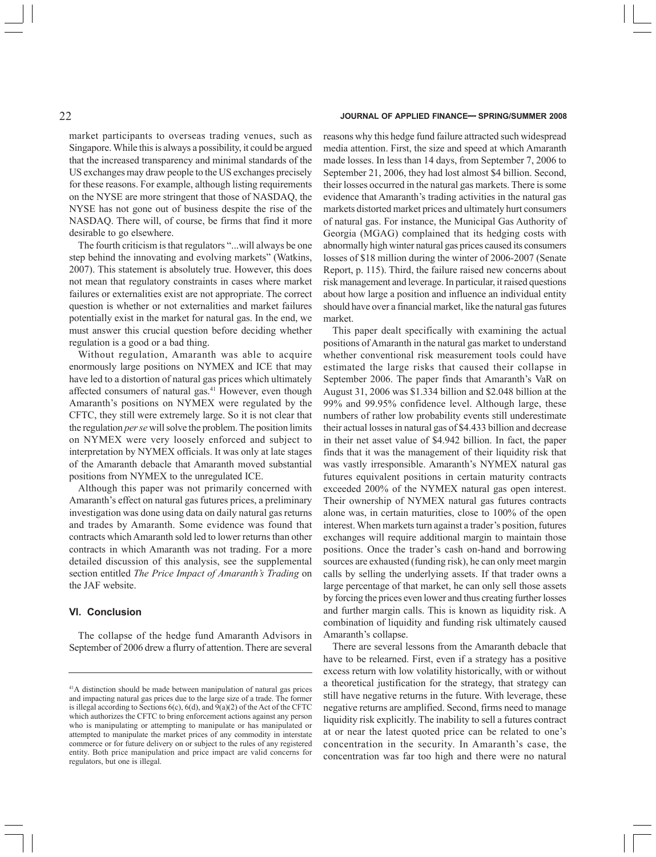market participants to overseas trading venues, such as Singapore. While this is always a possibility, it could be argued that the increased transparency and minimal standards of the US exchanges may draw people to the US exchanges precisely for these reasons. For example, although listing requirements on the NYSE are more stringent that those of NASDAQ, the NYSE has not gone out of business despite the rise of the NASDAQ. There will, of course, be firms that find it more desirable to go elsewhere.

The fourth criticism is that regulators "...will always be one step behind the innovating and evolving markets" (Watkins, 2007). This statement is absolutely true. However, this does not mean that regulatory constraints in cases where market failures or externalities exist are not appropriate. The correct question is whether or not externalities and market failures potentially exist in the market for natural gas. In the end, we must answer this crucial question before deciding whether regulation is a good or a bad thing.

Without regulation, Amaranth was able to acquire enormously large positions on NYMEX and ICE that may have led to a distortion of natural gas prices which ultimately affected consumers of natural gas.41 However, even though Amaranth's positions on NYMEX were regulated by the CFTC, they still were extremely large. So it is not clear that the regulation *per se* will solve the problem. The position limits on NYMEX were very loosely enforced and subject to interpretation by NYMEX officials. It was only at late stages of the Amaranth debacle that Amaranth moved substantial positions from NYMEX to the unregulated ICE.

Although this paper was not primarily concerned with Amaranth's effect on natural gas futures prices, a preliminary investigation was done using data on daily natural gas returns and trades by Amaranth. Some evidence was found that contracts which Amaranth sold led to lower returns than other contracts in which Amaranth was not trading. For a more detailed discussion of this analysis, see the supplemental section entitled *The Price Impact of Amaranth's Trading* on the JAF website.

#### **VI. Conclusion**

The collapse of the hedge fund Amaranth Advisors in September of 2006 drew a flurry of attention. There are several

#### 22 **JOURNAL OF APPLIED FINANCE SPRING/SUMMER 2008**

reasons why this hedge fund failure attracted such widespread media attention. First, the size and speed at which Amaranth made losses. In less than 14 days, from September 7, 2006 to September 21, 2006, they had lost almost \$4 billion. Second, their losses occurred in the natural gas markets. There is some evidence that Amaranth's trading activities in the natural gas markets distorted market prices and ultimately hurt consumers of natural gas. For instance, the Municipal Gas Authority of Georgia (MGAG) complained that its hedging costs with abnormally high winter natural gas prices caused its consumers losses of \$18 million during the winter of 2006-2007 (Senate Report, p. 115). Third, the failure raised new concerns about risk management and leverage. In particular, it raised questions about how large a position and influence an individual entity should have over a financial market, like the natural gas futures market.

This paper dealt specifically with examining the actual positions of Amaranth in the natural gas market to understand whether conventional risk measurement tools could have estimated the large risks that caused their collapse in September 2006. The paper finds that Amaranth's VaR on August 31, 2006 was \$1.334 billion and \$2.048 billion at the 99% and 99.95% confidence level. Although large, these numbers of rather low probability events still underestimate their actual losses in natural gas of \$4.433 billion and decrease in their net asset value of \$4.942 billion. In fact, the paper finds that it was the management of their liquidity risk that was vastly irresponsible. Amaranth's NYMEX natural gas futures equivalent positions in certain maturity contracts exceeded 200% of the NYMEX natural gas open interest. Their ownership of NYMEX natural gas futures contracts alone was, in certain maturities, close to 100% of the open interest. When markets turn against a trader's position, futures exchanges will require additional margin to maintain those positions. Once the trader's cash on-hand and borrowing sources are exhausted (funding risk), he can only meet margin calls by selling the underlying assets. If that trader owns a large percentage of that market, he can only sell those assets by forcing the prices even lower and thus creating further losses and further margin calls. This is known as liquidity risk. A combination of liquidity and funding risk ultimately caused Amaranth's collapse.

There are several lessons from the Amaranth debacle that have to be relearned. First, even if a strategy has a positive excess return with low volatility historically, with or without a theoretical justification for the strategy, that strategy can still have negative returns in the future. With leverage, these negative returns are amplified. Second, firms need to manage liquidity risk explicitly. The inability to sell a futures contract at or near the latest quoted price can be related to one's concentration in the security. In Amaranth's case, the concentration was far too high and there were no natural

<sup>41</sup>A distinction should be made between manipulation of natural gas prices and impacting natural gas prices due to the large size of a trade. The former is illegal according to Sections 6(c), 6(d), and  $9(a)(2)$  of the Act of the CFTC which authorizes the CFTC to bring enforcement actions against any person who is manipulating or attempting to manipulate or has manipulated or attempted to manipulate the market prices of any commodity in interstate commerce or for future delivery on or subject to the rules of any registered entity. Both price manipulation and price impact are valid concerns for regulators, but one is illegal.